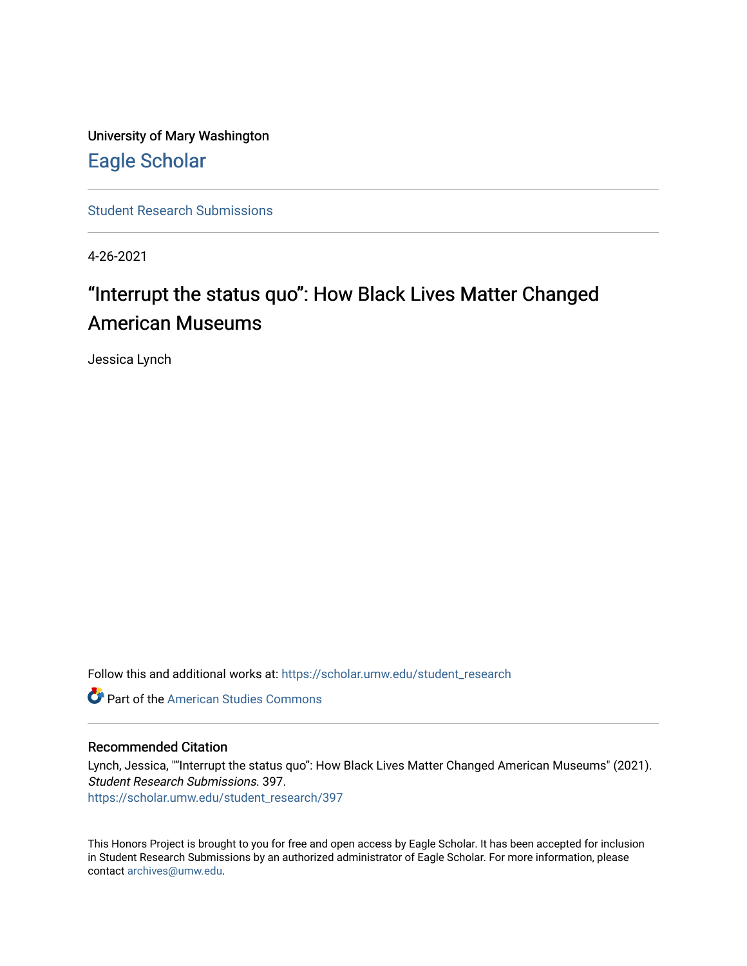University of Mary Washington [Eagle Scholar](https://scholar.umw.edu/) 

[Student Research Submissions](https://scholar.umw.edu/student_research) 

4-26-2021

# "Interrupt the status quo": How Black Lives Matter Changed American Museums

Jessica Lynch

Follow this and additional works at: [https://scholar.umw.edu/student\\_research](https://scholar.umw.edu/student_research?utm_source=scholar.umw.edu%2Fstudent_research%2F397&utm_medium=PDF&utm_campaign=PDFCoverPages)

**C** Part of the [American Studies Commons](http://network.bepress.com/hgg/discipline/439?utm_source=scholar.umw.edu%2Fstudent_research%2F397&utm_medium=PDF&utm_campaign=PDFCoverPages)

## Recommended Citation

Lynch, Jessica, ""Interrupt the status quo": How Black Lives Matter Changed American Museums" (2021). Student Research Submissions. 397.

[https://scholar.umw.edu/student\\_research/397](https://scholar.umw.edu/student_research/397?utm_source=scholar.umw.edu%2Fstudent_research%2F397&utm_medium=PDF&utm_campaign=PDFCoverPages)

This Honors Project is brought to you for free and open access by Eagle Scholar. It has been accepted for inclusion in Student Research Submissions by an authorized administrator of Eagle Scholar. For more information, please contact [archives@umw.edu](mailto:archives@umw.edu).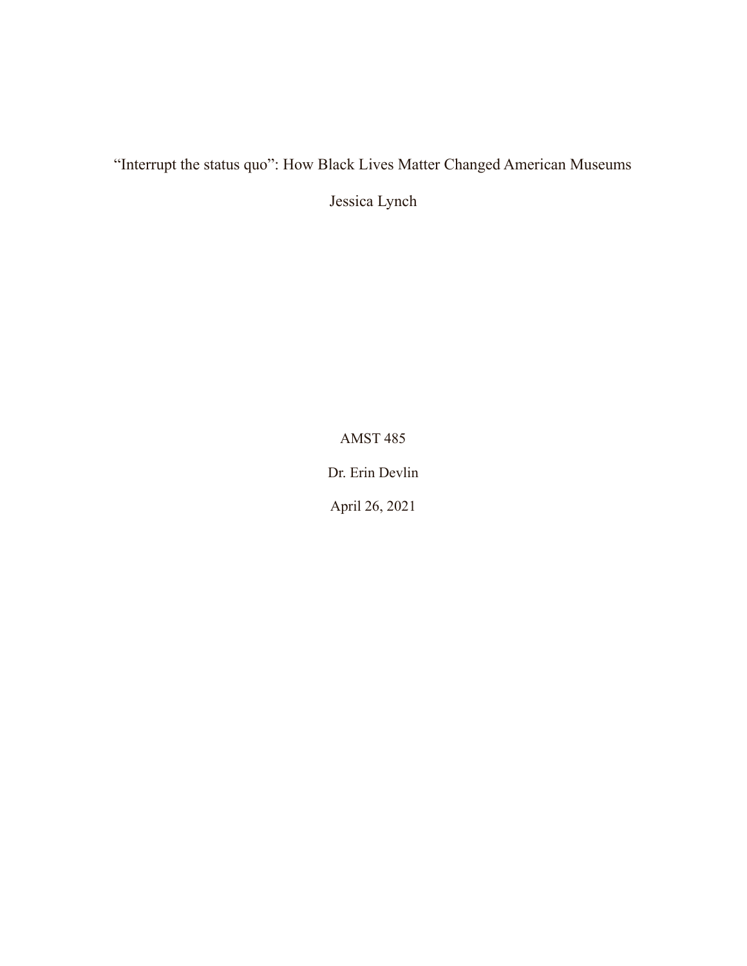"Interrupt the status quo": How Black Lives Matter Changed American Museums

Jessica Lynch

AMST 485

Dr. Erin Devlin

April 26, 2021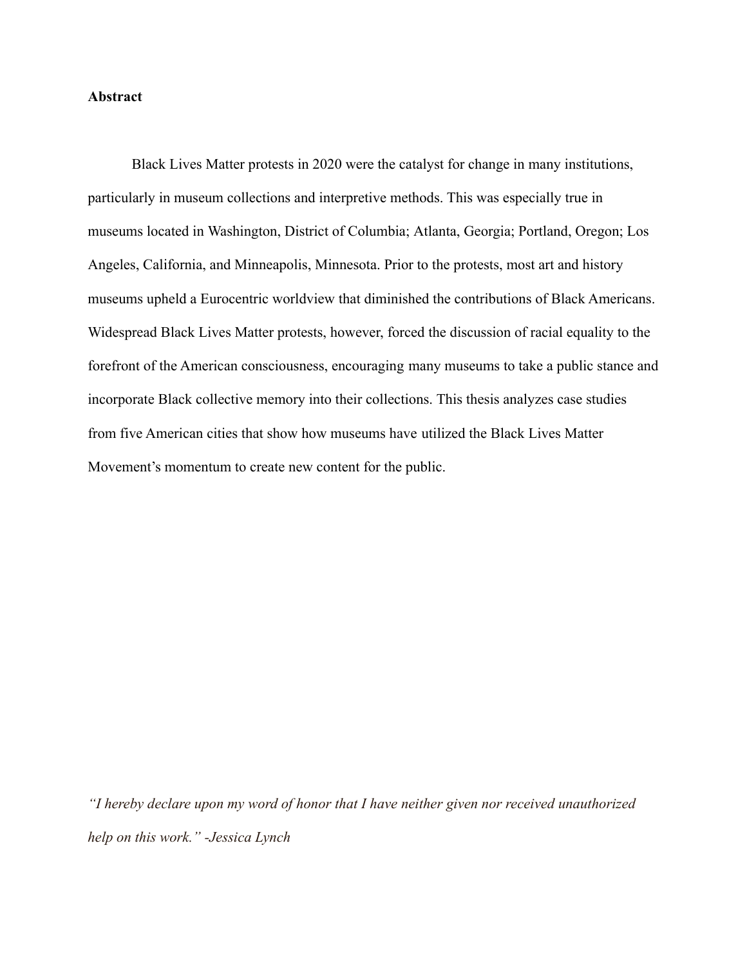## **Abstract**

Black Lives Matter protests in 2020 were the catalyst for change in many institutions, particularly in museum collections and interpretive methods. This was especially true in museums located in Washington, District of Columbia; Atlanta, Georgia; Portland, Oregon; Los Angeles, California, and Minneapolis, Minnesota. Prior to the protests, most art and history museums upheld a Eurocentric worldview that diminished the contributions of Black Americans. Widespread Black Lives Matter protests, however, forced the discussion of racial equality to the forefront of the American consciousness, encouraging many museums to take a public stance and incorporate Black collective memory into their collections. This thesis analyzes case studies from five American cities that show how museums have utilized the Black Lives Matter Movement's momentum to create new content for the public.

*"I hereby declare upon my word of honor that I have neither given nor received unauthorized help on this work." -Jessica Lynch*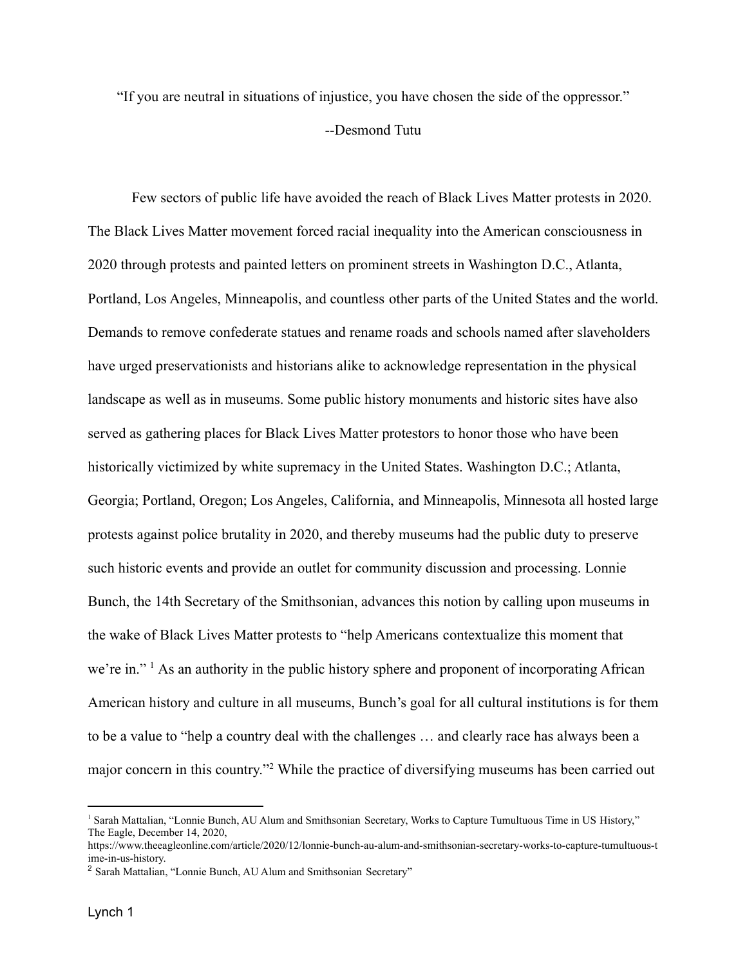"If you are neutral in situations of injustice, you have chosen the side of the oppressor."

#### --Desmond Tutu

Few sectors of public life have avoided the reach of Black Lives Matter protests in 2020. The Black Lives Matter movement forced racial inequality into the American consciousness in 2020 through protests and painted letters on prominent streets in Washington D.C., Atlanta, Portland, Los Angeles, Minneapolis, and countless other parts of the United States and the world. Demands to remove confederate statues and rename roads and schools named after slaveholders have urged preservationists and historians alike to acknowledge representation in the physical landscape as well as in museums. Some public history monuments and historic sites have also served as gathering places for Black Lives Matter protestors to honor those who have been historically victimized by white supremacy in the United States. Washington D.C.; Atlanta, Georgia; Portland, Oregon; Los Angeles, California, and Minneapolis, Minnesota all hosted large protests against police brutality in 2020, and thereby museums had the public duty to preserve such historic events and provide an outlet for community discussion and processing. Lonnie Bunch, the 14th Secretary of the Smithsonian, advances this notion by calling upon museums in the wake of Black Lives Matter protests to "help Americans contextualize this moment that we're in."<sup>1</sup> As an authority in the public history sphere and proponent of incorporating African American history and culture in all museums, Bunch's goal for all cultural institutions is for them to be a value to "help a country deal with the challenges … and clearly race has always been a major concern in this country."<sup>2</sup> While the practice of diversifying museums has been carried out

<sup>&</sup>lt;sup>1</sup> Sarah Mattalian, "Lonnie Bunch, AU Alum and Smithsonian Secretary, Works to Capture Tumultuous Time in US History," The Eagle, December 14, 2020,

https://www.theeagleonline.com/article/2020/12/lonnie-bunch-au-alum-and-smithsonian-secretary-works-to-capture-tumultuous-t ime-in-us-history.

<sup>2</sup> Sarah Mattalian, "Lonnie Bunch, AU Alum and Smithsonian Secretary"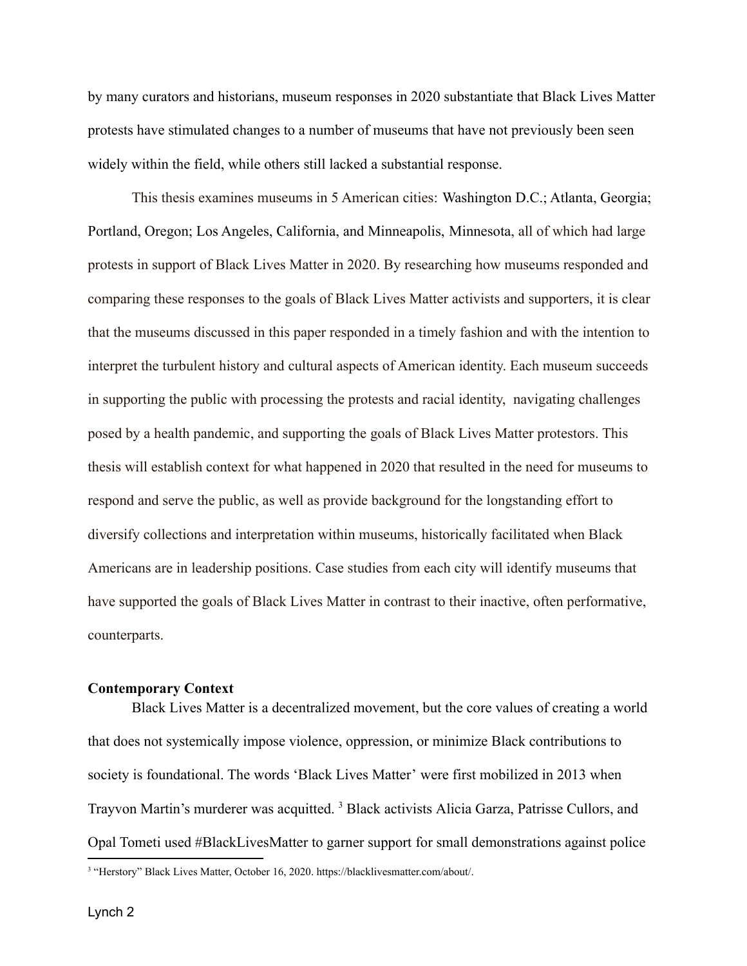by many curators and historians, museum responses in 2020 substantiate that Black Lives Matter protests have stimulated changes to a number of museums that have not previously been seen widely within the field, while others still lacked a substantial response.

This thesis examines museums in 5 American cities: Washington D.C.; Atlanta, Georgia; Portland, Oregon; Los Angeles, California, and Minneapolis, Minnesota, all of which had large protests in support of Black Lives Matter in 2020. By researching how museums responded and comparing these responses to the goals of Black Lives Matter activists and supporters, it is clear that the museums discussed in this paper responded in a timely fashion and with the intention to interpret the turbulent history and cultural aspects of American identity. Each museum succeeds in supporting the public with processing the protests and racial identity, navigating challenges posed by a health pandemic, and supporting the goals of Black Lives Matter protestors. This thesis will establish context for what happened in 2020 that resulted in the need for museums to respond and serve the public, as well as provide background for the longstanding effort to diversify collections and interpretation within museums, historically facilitated when Black Americans are in leadership positions. Case studies from each city will identify museums that have supported the goals of Black Lives Matter in contrast to their inactive, often performative, counterparts.

#### **Contemporary Context**

Black Lives Matter is a decentralized movement, but the core values of creating a world that does not systemically impose violence, oppression, or minimize Black contributions to society is foundational. The words 'Black Lives Matter' were first mobilized in 2013 when Trayvon Martin's murderer was acquitted.<sup>3</sup> Black activists Alicia Garza, Patrisse Cullors, and Opal Tometi used #BlackLivesMatter to garner support for small demonstrations against police

<sup>&</sup>lt;sup>3</sup> "Herstory" Black Lives Matter, October 16, 2020. https://blacklivesmatter.com/about/.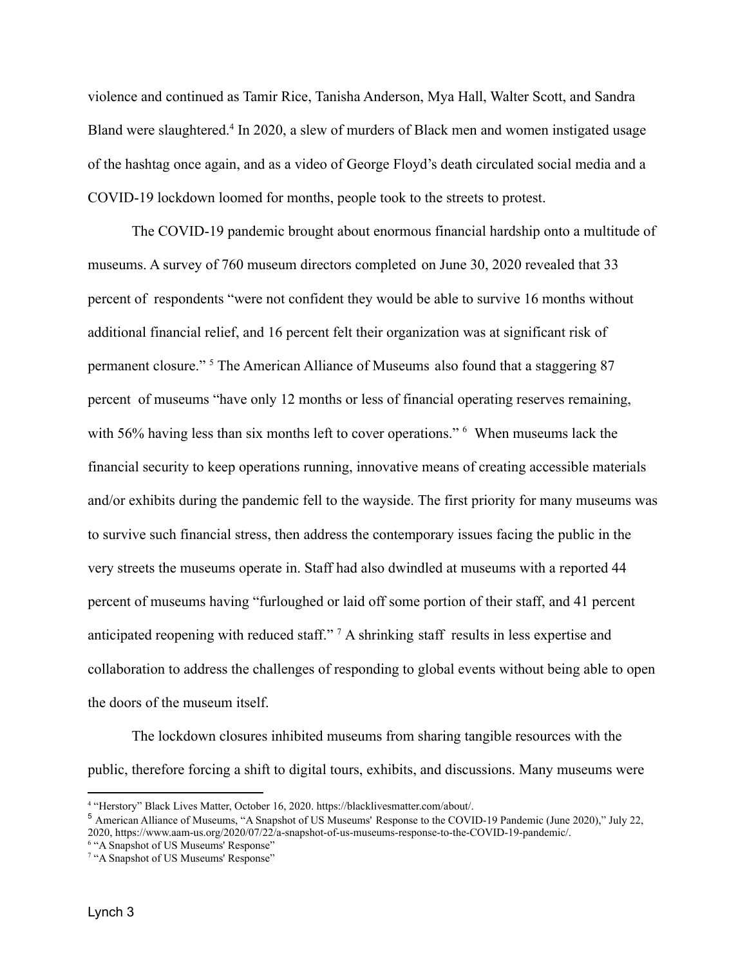violence and continued as Tamir Rice, Tanisha Anderson, Mya Hall, Walter Scott, and Sandra Bland were slaughtered.<sup>4</sup> In 2020, a slew of murders of Black men and women instigated usage of the hashtag once again, and as a video of George Floyd's death circulated social media and a COVID-19 lockdown loomed for months, people took to the streets to protest.

The COVID-19 pandemic brought about enormous financial hardship onto a multitude of museums. A survey of 760 museum directors completed on June 30, 2020 revealed that 33 percent of respondents "were not confident they would be able to survive 16 months without additional financial relief, and 16 percent felt their organization was at significant risk of permanent closure." <sup>5</sup> The American Alliance of Museums also found that a staggering 87 percent of museums "have only 12 months or less of financial operating reserves remaining, with 56% having less than six months left to cover operations." <sup>6</sup> When museums lack the financial security to keep operations running, innovative means of creating accessible materials and/or exhibits during the pandemic fell to the wayside. The first priority for many museums was to survive such financial stress, then address the contemporary issues facing the public in the very streets the museums operate in. Staff had also dwindled at museums with a reported 44 percent of museums having "furloughed or laid off some portion of their staff, and 41 percent anticipated reopening with reduced staff." <sup>7</sup> A shrinking staff results in less expertise and collaboration to address the challenges of responding to global events without being able to open the doors of the museum itself.

The lockdown closures inhibited museums from sharing tangible resources with the public, therefore forcing a shift to digital tours, exhibits, and discussions. Many museums were

<sup>4</sup> "Herstory" Black Lives Matter, October 16, 2020. https://blacklivesmatter.com/about/.

<sup>5</sup> American Alliance of Museums, "A Snapshot of US Museums' Response to the COVID-19 Pandemic (June 2020)," July 22, 2020, https://www.aam-us.org/2020/07/22/a-snapshot-of-us-museums-response-to-the-COVID-19-pandemic/.

<sup>&</sup>lt;sup>6</sup> "A Snapshot of US Museums' Response"

<sup>&</sup>lt;sup>7</sup> "A Snapshot of US Museums' Response"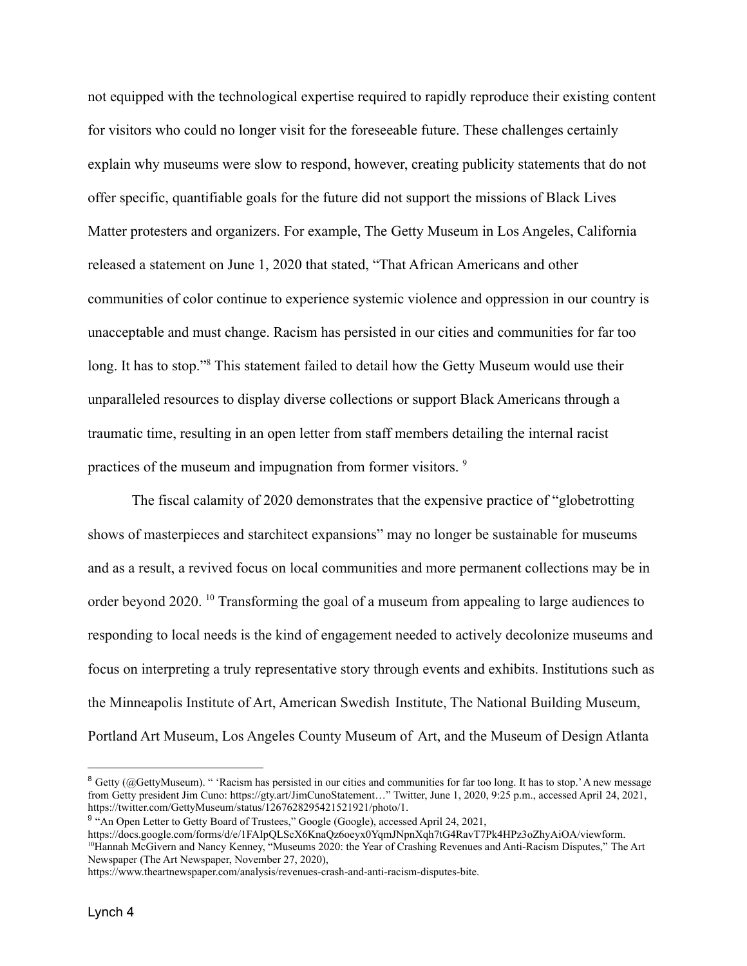not equipped with the technological expertise required to rapidly reproduce their existing content for visitors who could no longer visit for the foreseeable future. These challenges certainly explain why museums were slow to respond, however, creating publicity statements that do not offer specific, quantifiable goals for the future did not support the missions of Black Lives Matter protesters and organizers. For example, The Getty Museum in Los Angeles, California released a statement on June 1, 2020 that stated, "That African Americans and other communities of color continue to experience systemic violence and oppression in our country is unacceptable and must change. Racism has persisted in our cities and communities for far too long. It has to stop."<sup>8</sup> This statement failed to detail how the Getty Museum would use their unparalleled resources to display diverse collections or support Black Americans through a traumatic time, resulting in an open letter from staff members detailing the internal racist practices of the museum and impugnation from former visitors. <sup>9</sup>

The fiscal calamity of 2020 demonstrates that the expensive practice of "globetrotting shows of masterpieces and starchitect expansions" may no longer be sustainable for museums and as a result, a revived focus on local communities and more permanent collections may be in order beyond 2020. <sup>10</sup> Transforming the goal of a museum from appealing to large audiences to responding to local needs is the kind of engagement needed to actively decolonize museums and focus on interpreting a truly representative story through events and exhibits. Institutions such as the Minneapolis Institute of Art, American Swedish Institute, The National Building Museum, Portland Art Museum, Los Angeles County Museum of Art, and the Museum of Design Atlanta

<sup>10</sup>Hannah McGivern and Nancy Kenney, "Museums 2020: the Year of Crashing Revenues and Anti-Racism Disputes," The Art Newspaper (The Art Newspaper, November 27, 2020), https://docs.google.com/forms/d/e/1FAIpQLScX6KnaQz6oeyx0YqmJNpnXqh7tG4RavT7Pk4HPz3oZhyAiOA/viewform.

<sup>&</sup>lt;sup>8</sup> Getty (@GettyMuseum). " 'Racism has persisted in our cities and communities for far too long. It has to stop.' A new message from Getty president Jim Cuno: [https://gty.art/JimCunoStatement…](https://t.co/xjFuAmFfrL?amp=1)" Twitter, June 1, 2020, 9:25 p.m., accessed April 24, 2021, https://twitter.com/GettyMuseum/status/1267628295421521921/photo/1.

<sup>&</sup>lt;sup>9</sup> "An Open Letter to Getty Board of Trustees," Google (Google), accessed April 24, 2021,

https://www.theartnewspaper.com/analysis/revenues-crash-and-anti-racism-disputes-bite.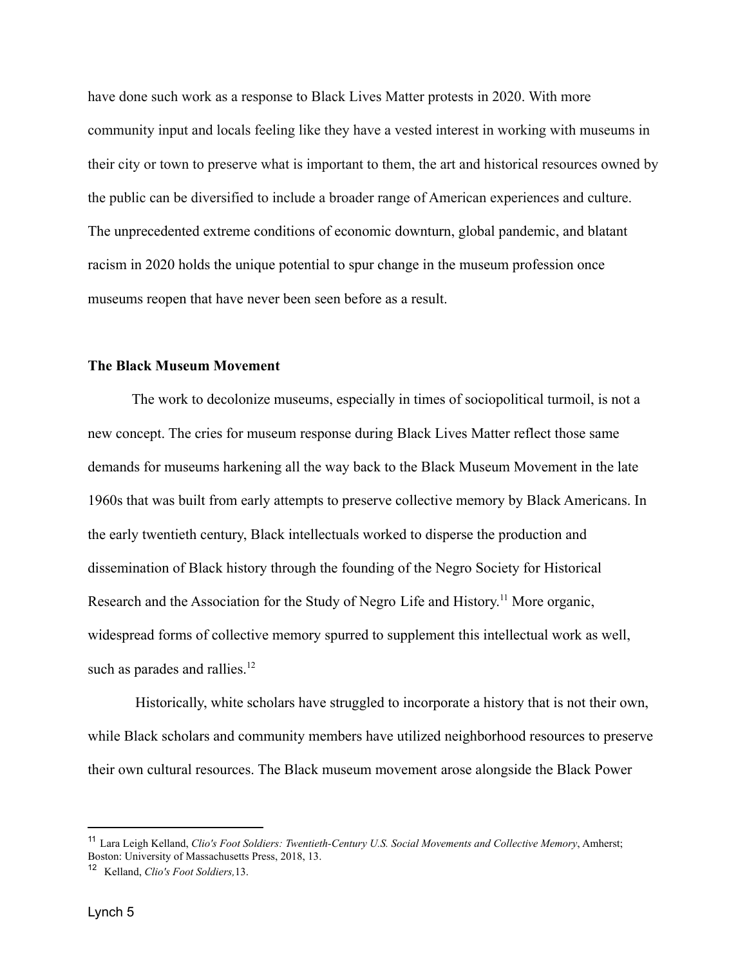have done such work as a response to Black Lives Matter protests in 2020. With more community input and locals feeling like they have a vested interest in working with museums in their city or town to preserve what is important to them, the art and historical resources owned by the public can be diversified to include a broader range of American experiences and culture. The unprecedented extreme conditions of economic downturn, global pandemic, and blatant racism in 2020 holds the unique potential to spur change in the museum profession once museums reopen that have never been seen before as a result.

# **The Black Museum Movement**

The work to decolonize museums, especially in times of sociopolitical turmoil, is not a new concept. The cries for museum response during Black Lives Matter reflect those same demands for museums harkening all the way back to the Black Museum Movement in the late 1960s that was built from early attempts to preserve collective memory by Black Americans. In the early twentieth century, Black intellectuals worked to disperse the production and dissemination of Black history through the founding of the Negro Society for Historical Research and the Association for the Study of Negro Life and History.<sup>11</sup> More organic, widespread forms of collective memory spurred to supplement this intellectual work as well, such as parades and rallies. $12$ 

Historically, white scholars have struggled to incorporate a history that is not their own, while Black scholars and community members have utilized neighborhood resources to preserve their own cultural resources. The Black museum movement arose alongside the Black Power

<sup>11</sup> Lara Leigh Kelland, *Clio's Foot Soldiers: Twentieth-Century U.S. Social Movements and Collective Memory*, Amherst; Boston: University of Massachusetts Press, 2018, 13.

<sup>12</sup> Kelland, *Clio's Foot Soldiers,*13.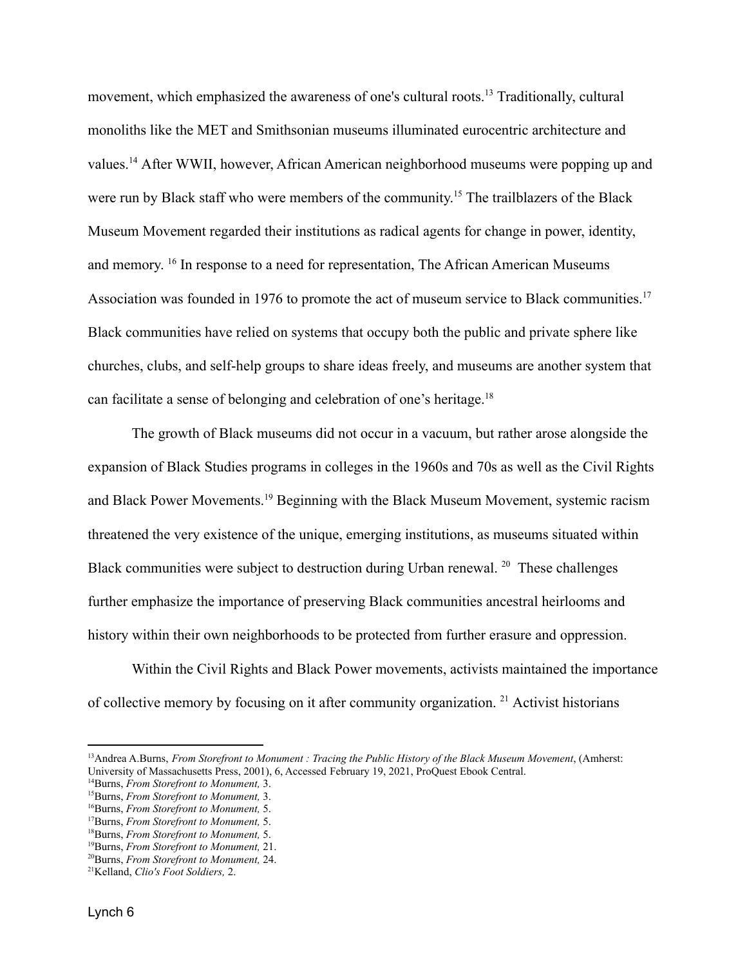movement, which emphasized the awareness of one's cultural roots.<sup>13</sup> Traditionally, cultural monoliths like the MET and Smithsonian museums illuminated eurocentric architecture and values.<sup>14</sup> After WWII, however, African American neighborhood museums were popping up and were run by Black staff who were members of the community.<sup>15</sup> The trailblazers of the Black Museum Movement regarded their institutions as radical agents for change in power, identity, and memory. 16 In response to a need for representation, The African American Museums Association was founded in 1976 to promote the act of museum service to Black communities.<sup>17</sup> Black communities have relied on systems that occupy both the public and private sphere like churches, clubs, and self-help groups to share ideas freely, and museums are another system that can facilitate a sense of belonging and celebration of one's heritage.<sup>18</sup>

The growth of Black museums did not occur in a vacuum, but rather arose alongside the expansion of Black Studies programs in colleges in the 1960s and 70s as well as the Civil Rights and Black Power Movements.<sup>19</sup> Beginning with the Black Museum Movement, systemic racism threatened the very existence of the unique, emerging institutions, as museums situated within Black communities were subject to destruction during Urban renewal. <sup>20</sup> These challenges further emphasize the importance of preserving Black communities ancestral heirlooms and history within their own neighborhoods to be protected from further erasure and oppression.

Within the Civil Rights and Black Power movements, activists maintained the importance of collective memory by focusing on it after community organization. <sup>21</sup> Activist historians

<sup>13</sup>Andrea A.Burns, *From Storefront to Monument : Tracing the Public History of the Black Museum Movement*, (Amherst: University of Massachusetts Press, 2001), 6, Accessed February 19, 2021, ProQuest Ebook Central.

<sup>14</sup>Burns, *From Storefront to Monument,* 3.

<sup>15</sup>Burns, *From Storefront to Monument,* 3.

<sup>16</sup>Burns, *From Storefront to Monument,* 5.

<sup>17</sup>Burns, *From Storefront to Monument,* 5.

<sup>18</sup>Burns, *From Storefront to Monument,* 5.

<sup>19</sup>Burns, *From Storefront to Monument,* 21.

<sup>20</sup>Burns, *From Storefront to Monument,* 24.

<sup>21</sup>Kelland, *Clio's Foot Soldiers,* 2.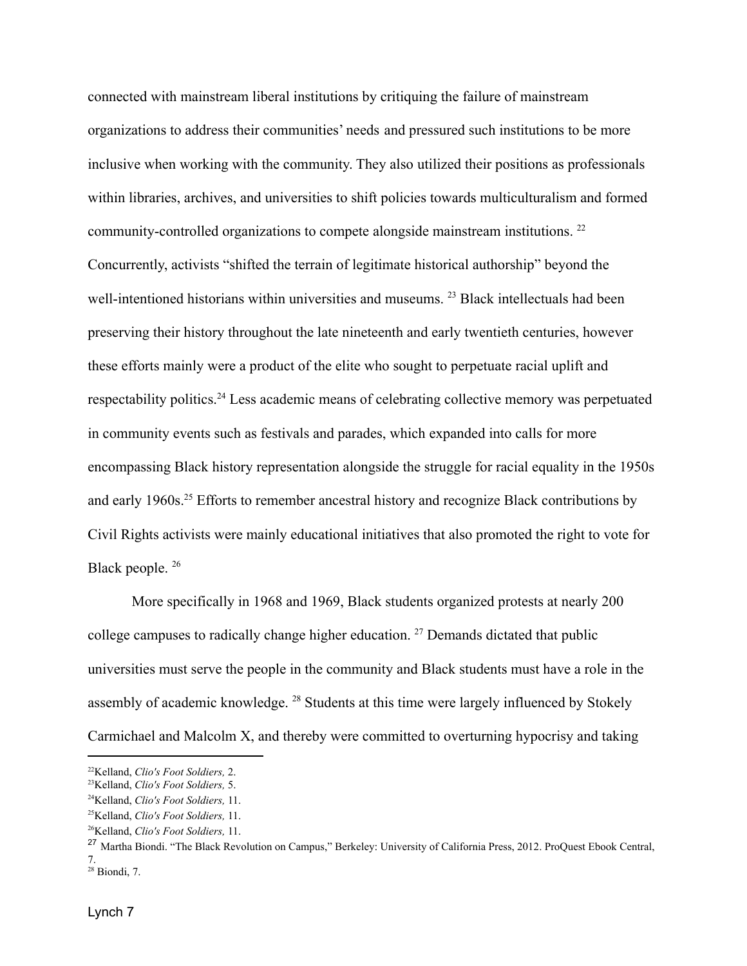connected with mainstream liberal institutions by critiquing the failure of mainstream organizations to address their communities' needs and pressured such institutions to be more inclusive when working with the community. They also utilized their positions as professionals within libraries, archives, and universities to shift policies towards multiculturalism and formed community-controlled organizations to compete alongside mainstream institutions. <sup>22</sup> Concurrently, activists "shifted the terrain of legitimate historical authorship" beyond the well-intentioned historians within universities and museums.<sup>23</sup> Black intellectuals had been preserving their history throughout the late nineteenth and early twentieth centuries, however these efforts mainly were a product of the elite who sought to perpetuate racial uplift and respectability politics.<sup>24</sup> Less academic means of celebrating collective memory was perpetuated in community events such as festivals and parades, which expanded into calls for more encompassing Black history representation alongside the struggle for racial equality in the 1950s and early 1960s.<sup>25</sup> Efforts to remember ancestral history and recognize Black contributions by Civil Rights activists were mainly educational initiatives that also promoted the right to vote for Black people. <sup>26</sup>

More specifically in 1968 and 1969, Black students organized protests at nearly 200 college campuses to radically change higher education. <sup>27</sup> Demands dictated that public universities must serve the people in the community and Black students must have a role in the assembly of academic knowledge. <sup>28</sup> Students at this time were largely influenced by Stokely Carmichael and Malcolm X, and thereby were committed to overturning hypocrisy and taking

<sup>22</sup>Kelland, *Clio's Foot Soldiers,* 2.

<sup>23</sup>Kelland, *Clio's Foot Soldiers,* 5.

<sup>24</sup>Kelland, *Clio's Foot Soldiers,* 11.

<sup>25</sup>Kelland, *Clio's Foot Soldiers,* 11.

<sup>26</sup>Kelland, *Clio's Foot Soldiers,* 11.

 $28$  Biondi, 7. <sup>27</sup> Martha Biondi. "The Black Revolution on Campus," Berkeley: University of California Press, 2012. ProQuest Ebook Central, 7.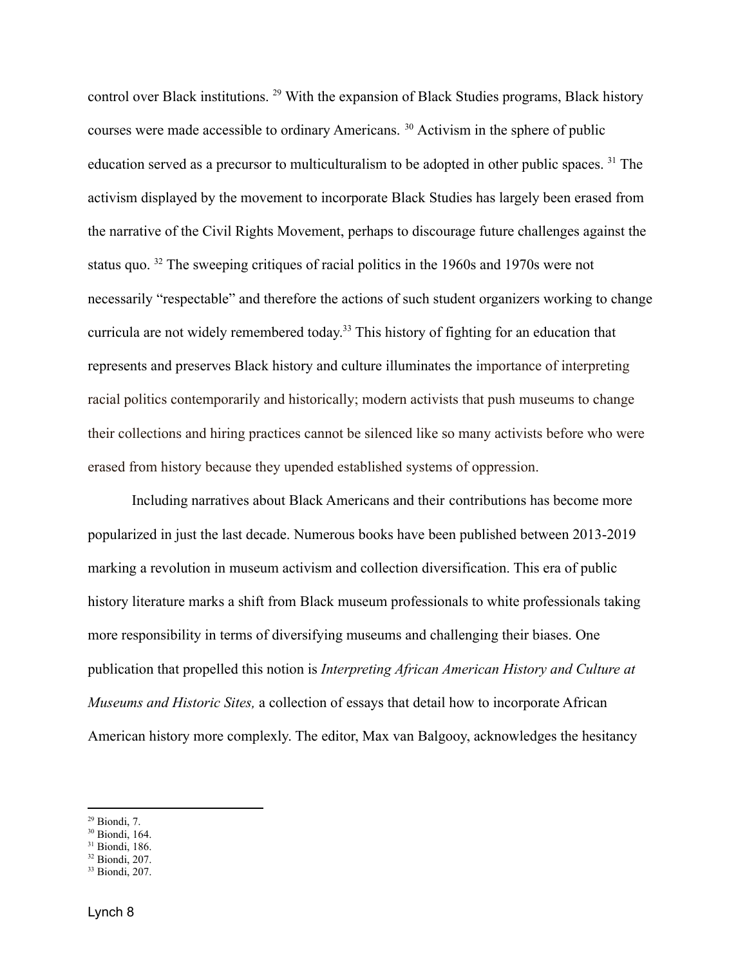control over Black institutions. <sup>29</sup> With the expansion of Black Studies programs, Black history courses were made accessible to ordinary Americans. <sup>30</sup> Activism in the sphere of public education served as a precursor to multiculturalism to be adopted in other public spaces. <sup>31</sup> The activism displayed by the movement to incorporate Black Studies has largely been erased from the narrative of the Civil Rights Movement, perhaps to discourage future challenges against the status quo. <sup>32</sup> The sweeping critiques of racial politics in the 1960s and 1970s were not necessarily "respectable" and therefore the actions of such student organizers working to change curricula are not widely remembered today. <sup>33</sup> This history of fighting for an education that represents and preserves Black history and culture illuminates the importance of interpreting racial politics contemporarily and historically; modern activists that push museums to change their collections and hiring practices cannot be silenced like so many activists before who were erased from history because they upended established systems of oppression.

Including narratives about Black Americans and their contributions has become more popularized in just the last decade. Numerous books have been published between 2013-2019 marking a revolution in museum activism and collection diversification. This era of public history literature marks a shift from Black museum professionals to white professionals taking more responsibility in terms of diversifying museums and challenging their biases. One publication that propelled this notion is *Interpreting African American History and Culture at Museums and Historic Sites,* a collection of essays that detail how to incorporate African American history more complexly. The editor, Max van Balgooy, acknowledges the hesitancy

<sup>30</sup> Biondi, 164.

<sup>32</sup> Biondi, 207.

 $29$  Biondi, 7.

<sup>31</sup> Biondi, 186.

<sup>33</sup> Biondi, 207.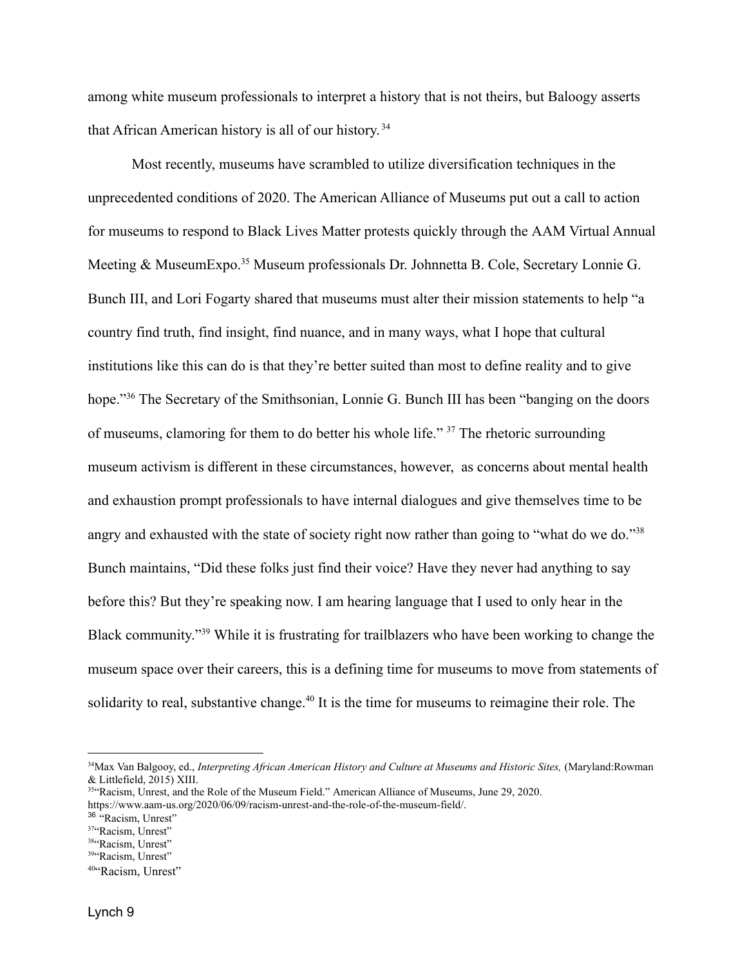among white museum professionals to interpret a history that is not theirs, but Baloogy asserts that African American history is all of our history. 34

Most recently, museums have scrambled to utilize diversification techniques in the unprecedented conditions of 2020. The American Alliance of Museums put out a call to action for museums to respond to Black Lives Matter protests quickly through the AAM Virtual Annual Meeting & MuseumExpo.<sup>35</sup> Museum professionals Dr. Johnnetta B. Cole, Secretary Lonnie G. Bunch III, and Lori Fogarty shared that museums must alter their mission statements to help "a country find truth, find insight, find nuance, and in many ways, what I hope that cultural institutions like this can do is that they're better suited than most to define reality and to give hope."<sup>36</sup> The Secretary of the Smithsonian, Lonnie G. Bunch III has been "banging on the doors" of museums, clamoring for them to do better his whole life." <sup>37</sup> The rhetoric surrounding museum activism is different in these circumstances, however, as concerns about mental health and exhaustion prompt professionals to have internal dialogues and give themselves time to be angry and exhausted with the state of society right now rather than going to "what do we do."<sup>38</sup> Bunch maintains, "Did these folks just find their voice? Have they never had anything to say before this? But they're speaking now. I am hearing language that I used to only hear in the Black community."<sup>39</sup> While it is frustrating for trailblazers who have been working to change the museum space over their careers, this is a defining time for museums to move from statements of solidarity to real, substantive change.<sup>40</sup> It is the time for museums to reimagine their role. The

<sup>34</sup>Max Van Balgooy, ed., *Interpreting African American History and Culture at Museums and Historic Sites,* (Maryland:Rowman & Littlefield, 2015) XIII.

<sup>&</sup>lt;sup>35"</sup>Racism, Unrest, and the Role of the Museum Field." American Alliance of Museums, June 29, 2020. https://www.aam-us.org/2020/06/09/racism-unrest-and-the-role-of-the-museum-field/.

<sup>&</sup>lt;sup>36</sup> "Racism, Unrest"

<sup>&</sup>lt;sup>37</sup>"Racism, Unrest"

<sup>&</sup>lt;sup>38"</sup>Racism, Unrest"

<sup>&</sup>lt;sup>39"</sup>Racism, Unrest"

<sup>&</sup>lt;sup>40"</sup>Racism, Unrest"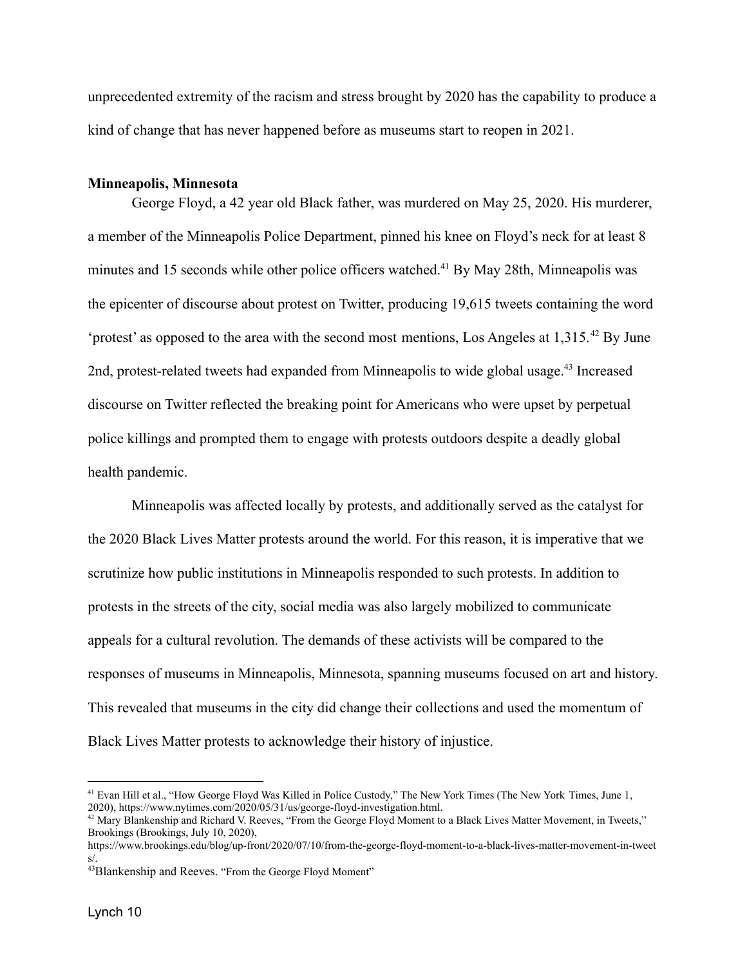unprecedented extremity of the racism and stress brought by 2020 has the capability to produce a kind of change that has never happened before as museums start to reopen in 2021.

#### **Minneapolis, Minnesota**

George Floyd, a 42 year old Black father, was murdered on May 25, 2020. His murderer, a member of the Minneapolis Police Department, pinned his knee on Floyd's neck for at least 8 minutes and 15 seconds while other police officers watched.<sup>41</sup> By May 28th, Minneapolis was the epicenter of discourse about protest on Twitter, producing 19,615 tweets containing the word 'protest' as opposed to the area with the second most mentions, Los Angeles at  $1,315$ .<sup>42</sup> By June 2nd, protest-related tweets had expanded from Minneapolis to wide global usage.<sup>43</sup> Increased discourse on Twitter reflected the breaking point for Americans who were upset by perpetual police killings and prompted them to engage with protests outdoors despite a deadly global health pandemic.

Minneapolis was affected locally by protests, and additionally served as the catalyst for the 2020 Black Lives Matter protests around the world. For this reason, it is imperative that we scrutinize how public institutions in Minneapolis responded to such protests. In addition to protests in the streets of the city, social media was also largely mobilized to communicate appeals for a cultural revolution. The demands of these activists will be compared to the responses of museums in Minneapolis, Minnesota, spanning museums focused on art and history. This revealed that museums in the city did change their collections and used the momentum of Black Lives Matter protests to acknowledge their history of injustice.

<sup>&</sup>lt;sup>41</sup> Evan Hill et al., "How George Floyd Was Killed in Police Custody," The New York Times (The New York Times, June 1, 2020), https://www.nytimes.com/2020/05/31/us/george-floyd-investigation.html.

<sup>&</sup>lt;sup>42</sup> Mary Blankenship and Richard V. Reeves, "From the George Floyd Moment to a Black Lives Matter Movement, in Tweets," Brookings (Brookings, July 10, 2020),

https://www.brookings.edu/blog/up-front/2020/07/10/from-the-george-floyd-moment-to-a-black-lives-matter-movement-in-tweet s/.

<sup>43</sup>Blankenship and Reeves. "From the George Floyd Moment"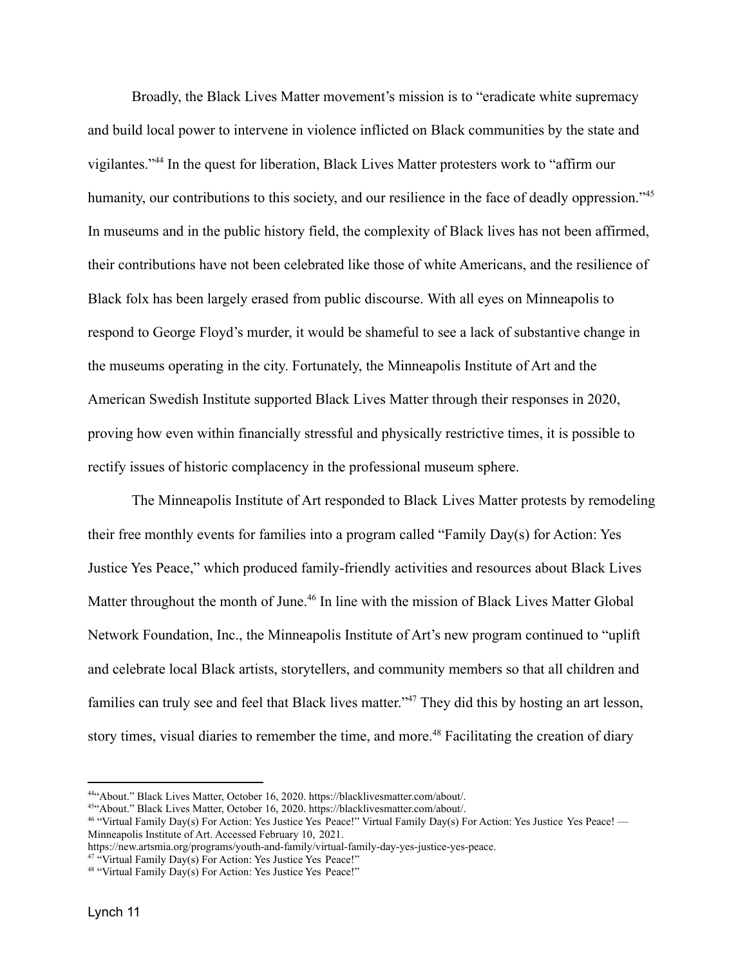Broadly, the Black Lives Matter movement's mission is to "eradicate white supremacy and build local power to intervene in violence inflicted on Black communities by the state and vigilantes."<sup>44</sup> In the quest for liberation, Black Lives Matter protesters work to "affirm our humanity, our contributions to this society, and our resilience in the face of deadly oppression."<sup>45</sup> In museums and in the public history field, the complexity of Black lives has not been affirmed, their contributions have not been celebrated like those of white Americans, and the resilience of Black folx has been largely erased from public discourse. With all eyes on Minneapolis to respond to George Floyd's murder, it would be shameful to see a lack of substantive change in the museums operating in the city. Fortunately, the Minneapolis Institute of Art and the American Swedish Institute supported Black Lives Matter through their responses in 2020, proving how even within financially stressful and physically restrictive times, it is possible to rectify issues of historic complacency in the professional museum sphere.

The Minneapolis Institute of Art responded to Black Lives Matter protests by remodeling their free monthly events for families into a program called "Family Day(s) for Action: Yes Justice Yes Peace," which produced family-friendly activities and resources about Black Lives Matter throughout the month of June.<sup>46</sup> In line with the mission of Black Lives Matter Global Network Foundation, Inc., the Minneapolis Institute of Art's new program continued to "uplift and celebrate local Black artists, storytellers, and community members so that all children and families can truly see and feel that Black lives matter."<sup>47</sup> They did this by hosting an art lesson, story times, visual diaries to remember the time, and more.<sup>48</sup> Facilitating the creation of diary

<sup>44</sup>"About." Black Lives Matter, October 16, 2020. https://blacklivesmatter.com/about/.

<sup>45</sup>"About." Black Lives Matter, October 16, 2020. https://blacklivesmatter.com/about/.

<sup>46</sup> "Virtual Family Day(s) For Action: Yes Justice Yes Peace!" Virtual Family Day(s) For Action: Yes Justice Yes Peace! –– Minneapolis Institute of Art. Accessed February 10, 2021.

https://new.artsmia.org/programs/youth-and-family/virtual-family-day-yes-justice-yes-peace.

<sup>&</sup>lt;sup>47 "</sup>Virtual Family Day(s) For Action: Yes Justice Yes Peace!"

<sup>48</sup> "Virtual Family Day(s) For Action: Yes Justice Yes Peace!"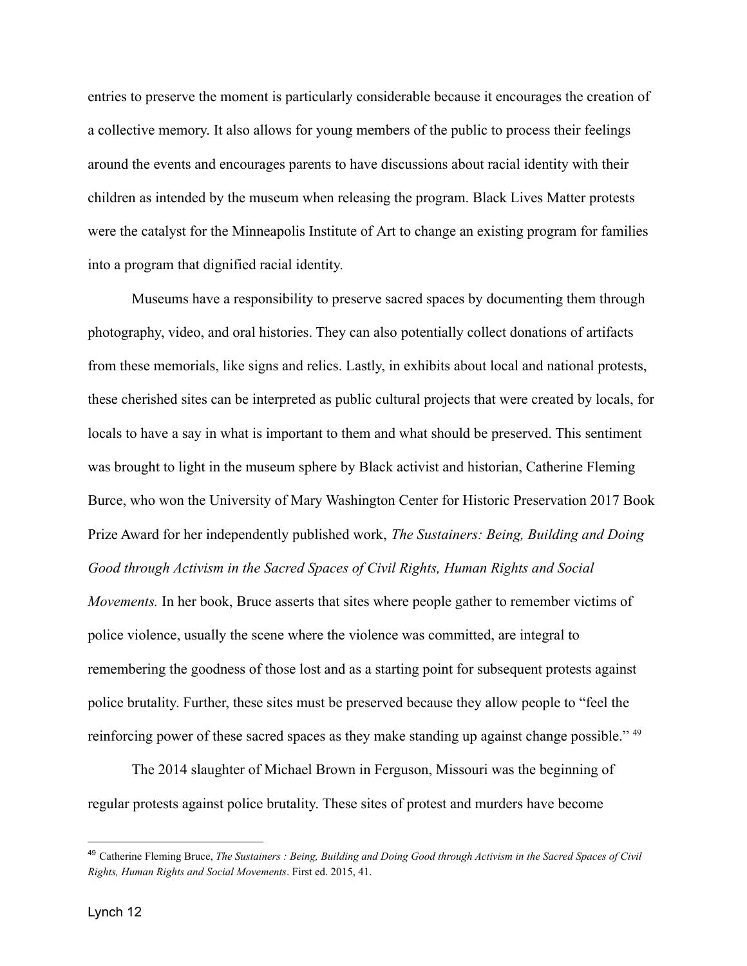entries to preserve the moment is particularly considerable because it encourages the creation of a collective memory. It also allows for young members of the public to process their feelings around the events and encourages parents to have discussions about racial identity with their children as intended by the museum when releasing the program. Black Lives Matter protests were the catalyst for the Minneapolis Institute of Art to change an existing program for families into a program that dignified racial identity.

Museums have a responsibility to preserve sacred spaces by documenting them through photography, video, and oral histories. They can also potentially collect donations of artifacts from these memorials, like signs and relics. Lastly, in exhibits about local and national protests, these cherished sites can be interpreted as public cultural projects that were created by locals, for locals to have a say in what is important to them and what should be preserved. This sentiment was brought to light in the museum sphere by Black activist and historian, Catherine Fleming Burce, who won the University of Mary Washington Center for Historic Preservation 2017 Book Prize Award for her independently published work, *The Sustainers: Being, Building and Doing Good through Activism in the Sacred Spaces of Civil Rights, Human Rights and Social Movements.* In her book, Bruce asserts that sites where people gather to remember victims of police violence, usually the scene where the violence was committed, are integral to remembering the goodness of those lost and as a starting point for subsequent protests against police brutality. Further, these sites must be preserved because they allow people to "feel the reinforcing power of these sacred spaces as they make standing up against change possible." <sup>49</sup>

The 2014 slaughter of Michael Brown in Ferguson, Missouri was the beginning of regular protests against police brutality. These sites of protest and murders have become

<sup>49</sup> Catherine Fleming Bruce, *The Sustainers : Being, Building and Doing Good through Activism in the Sacred Spaces of Civil Rights, Human Rights and Social Movements*. First ed. 2015, 41.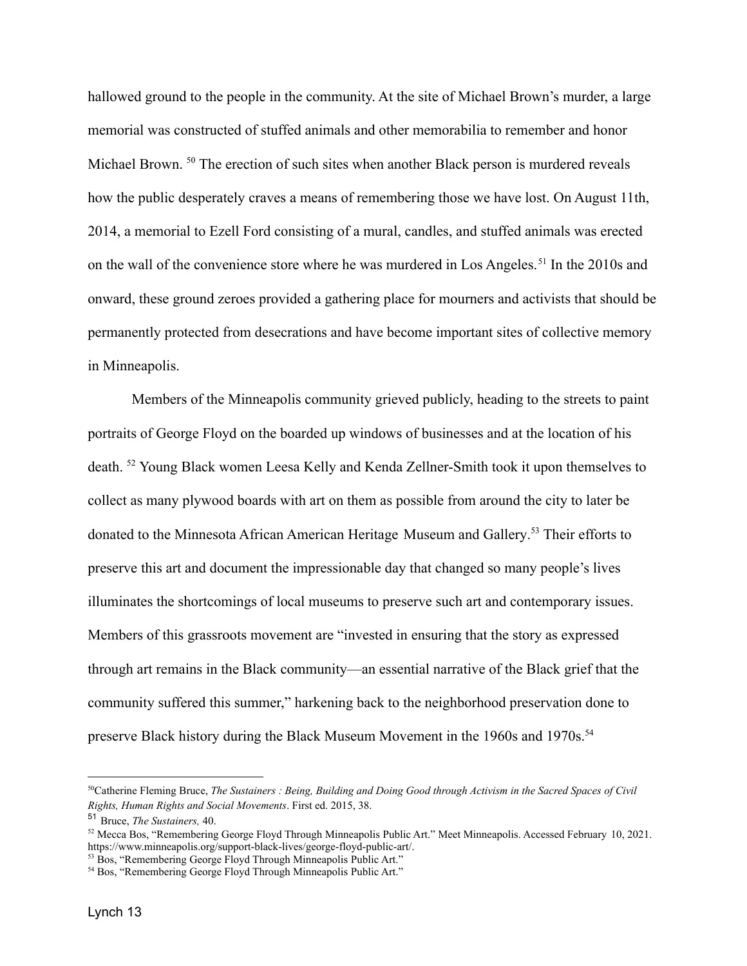hallowed ground to the people in the community. At the site of Michael Brown's murder, a large memorial was constructed of stuffed animals and other memorabilia to remember and honor Michael Brown. <sup>50</sup> The erection of such sites when another Black person is murdered reveals how the public desperately craves a means of remembering those we have lost. On August 11th, 2014, a memorial to Ezell Ford consisting of a mural, candles, and stuffed animals was erected on the wall of the convenience store where he was murdered in Los Angeles.<sup>51</sup> In the 2010s and onward, these ground zeroes provided a gathering place for mourners and activists that should be permanently protected from desecrations and have become important sites of collective memory in Minneapolis.

Members of the Minneapolis community grieved publicly, heading to the streets to paint portraits of George Floyd on the boarded up windows of businesses and at the location of his death. <sup>52</sup> Young Black women Leesa Kelly and Kenda Zellner-Smith took it upon themselves to collect as many plywood boards with art on them as possible from around the city to later be donated to the Minnesota African American Heritage Museum and Gallery. <sup>53</sup> Their efforts to preserve this art and document the impressionable day that changed so many people's lives illuminates the shortcomings of local museums to preserve such art and contemporary issues. Members of this grassroots movement are "invested in ensuring that the story as expressed through art remains in the Black community—an essential narrative of the Black grief that the community suffered this summer," harkening back to the neighborhood preservation done to preserve Black history during the Black Museum Movement in the 1960s and 1970s.<sup>54</sup>

<sup>50</sup>Catherine Fleming Bruce, *The Sustainers : Being, Building and Doing Good through Activism in the Sacred Spaces of Civil Rights, Human Rights and Social Movements*. First ed. 2015, 38.

<sup>51</sup> Bruce, *The Sustainers,* 40.

<sup>&</sup>lt;sup>52</sup> Mecca Bos, "Remembering George Floyd Through Minneapolis Public Art." Meet Minneapolis. Accessed February 10, 2021. https://www.minneapolis.org/support-black-lives/george-floyd-public-art/.

<sup>&</sup>lt;sup>53</sup> Bos, "Remembering George Floyd Through Minneapolis Public Art."

<sup>&</sup>lt;sup>54</sup> Bos, "Remembering George Floyd Through Minneapolis Public Art."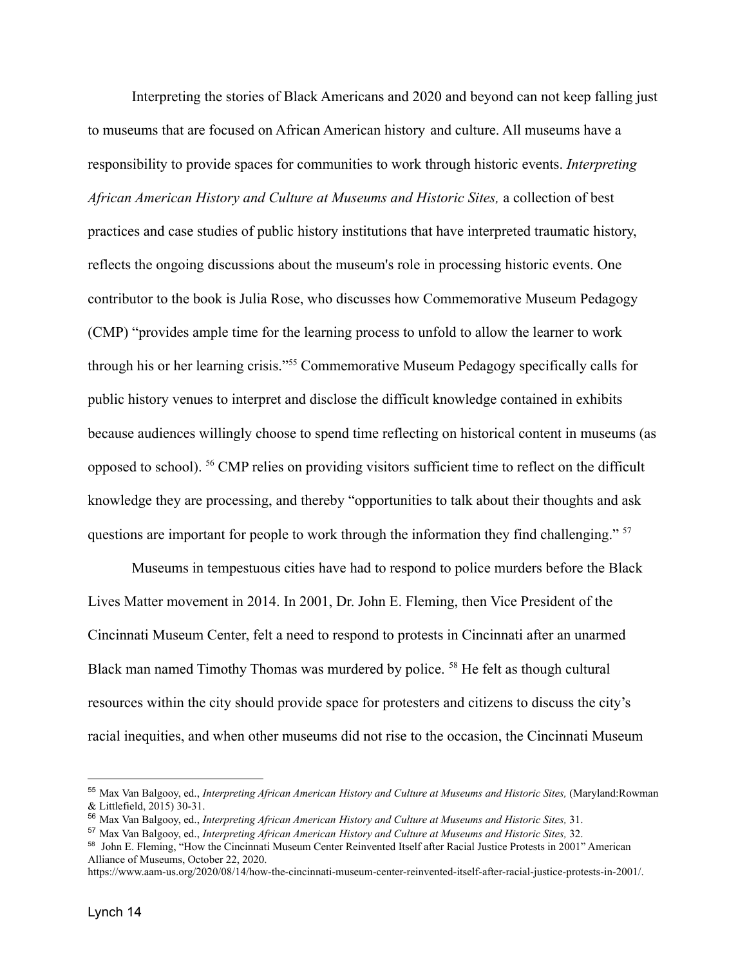Interpreting the stories of Black Americans and 2020 and beyond can not keep falling just to museums that are focused on African American history and culture. All museums have a responsibility to provide spaces for communities to work through historic events. *Interpreting African American History and Culture at Museums and Historic Sites,* a collection of best practices and case studies of public history institutions that have interpreted traumatic history, reflects the ongoing discussions about the museum's role in processing historic events. One contributor to the book is Julia Rose, who discusses how Commemorative Museum Pedagogy (CMP) "provides ample time for the learning process to unfold to allow the learner to work through his or her learning crisis."<sup>55</sup> Commemorative Museum Pedagogy specifically calls for public history venues to interpret and disclose the difficult knowledge contained in exhibits because audiences willingly choose to spend time reflecting on historical content in museums (as opposed to school). <sup>56</sup> CMP relies on providing visitors sufficient time to reflect on the difficult knowledge they are processing, and thereby "opportunities to talk about their thoughts and ask questions are important for people to work through the information they find challenging." <sup>57</sup>

Museums in tempestuous cities have had to respond to police murders before the Black Lives Matter movement in 2014. In 2001, Dr. John E. Fleming, then Vice President of the Cincinnati Museum Center, felt a need to respond to protests in Cincinnati after an unarmed Black man named Timothy Thomas was murdered by police. <sup>58</sup> He felt as though cultural resources within the city should provide space for protesters and citizens to discuss the city's racial inequities, and when other museums did not rise to the occasion, the Cincinnati Museum

<sup>55</sup> Max Van Balgooy, ed., *Interpreting African American History and Culture at Museums and Historic Sites,* (Maryland:Rowman & Littlefield, 2015) 30-31.

<sup>56</sup> Max Van Balgooy, ed., *Interpreting African American History and Culture at Museums and Historic Sites,* 31.

<sup>57</sup> Max Van Balgooy, ed., *Interpreting African American History and Culture at Museums and Historic Sites,* 32.

<sup>58</sup> John E. Fleming, "How the Cincinnati Museum Center Reinvented Itself after Racial Justice Protests in 2001" American Alliance of Museums, October 22, 2020.

https://www.aam-us.org/2020/08/14/how-the-cincinnati-museum-center-reinvented-itself-after-racial-justice-protests-in-2001/.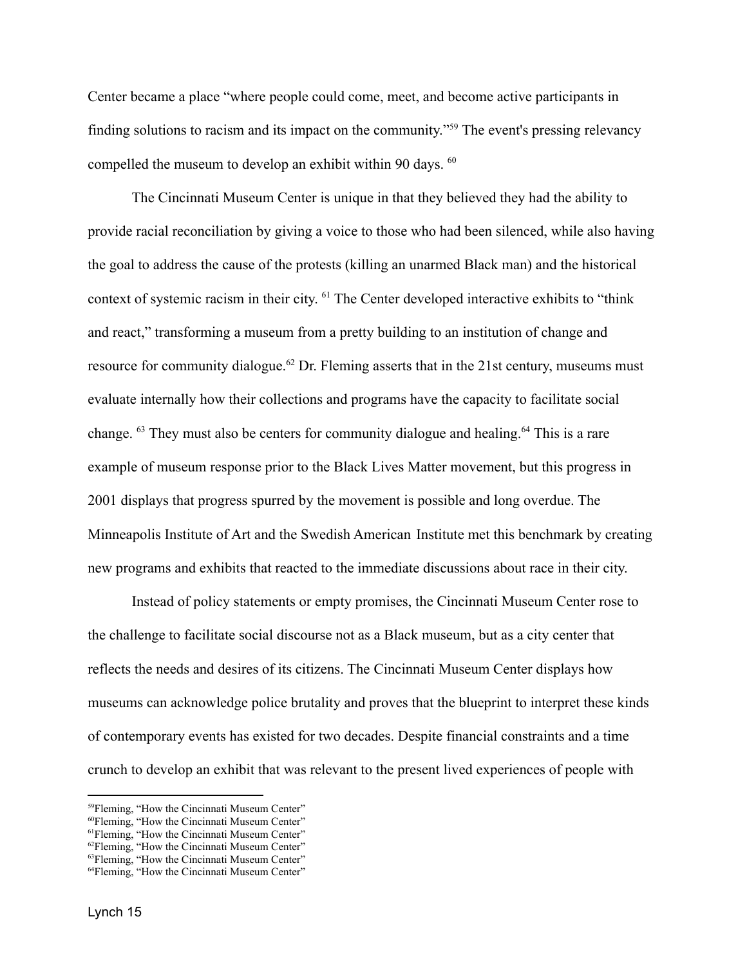Center became a place "where people could come, meet, and become active participants in finding solutions to racism and its impact on the community."<sup>59</sup> The event's pressing relevancy compelled the museum to develop an exhibit within 90 days. <sup>60</sup>

The Cincinnati Museum Center is unique in that they believed they had the ability to provide racial reconciliation by giving a voice to those who had been silenced, while also having the goal to address the cause of the protests (killing an unarmed Black man) and the historical context of systemic racism in their city. <sup>61</sup> The Center developed interactive exhibits to "think and react," transforming a museum from a pretty building to an institution of change and resource for community dialogue.<sup>62</sup> Dr. Fleming asserts that in the 21st century, museums must evaluate internally how their collections and programs have the capacity to facilitate social change. <sup>63</sup> They must also be centers for community dialogue and healing.<sup>64</sup> This is a rare example of museum response prior to the Black Lives Matter movement, but this progress in 2001 displays that progress spurred by the movement is possible and long overdue. The Minneapolis Institute of Art and the Swedish American Institute met this benchmark by creating new programs and exhibits that reacted to the immediate discussions about race in their city.

Instead of policy statements or empty promises, the Cincinnati Museum Center rose to the challenge to facilitate social discourse not as a Black museum, but as a city center that reflects the needs and desires of its citizens. The Cincinnati Museum Center displays how museums can acknowledge police brutality and proves that the blueprint to interpret these kinds of contemporary events has existed for two decades. Despite financial constraints and a time crunch to develop an exhibit that was relevant to the present lived experiences of people with

<sup>59</sup>Fleming, "How the Cincinnati Museum Center"

<sup>60</sup>Fleming, "How the Cincinnati Museum Center"

<sup>&</sup>lt;sup>61</sup>Fleming, "How the Cincinnati Museum Center"

<sup>&</sup>lt;sup>62</sup>Fleming, "How the Cincinnati Museum Center"

<sup>&</sup>lt;sup>63</sup>Fleming, "How the Cincinnati Museum Center"

<sup>&</sup>lt;sup>64</sup>Fleming, "How the Cincinnati Museum Center"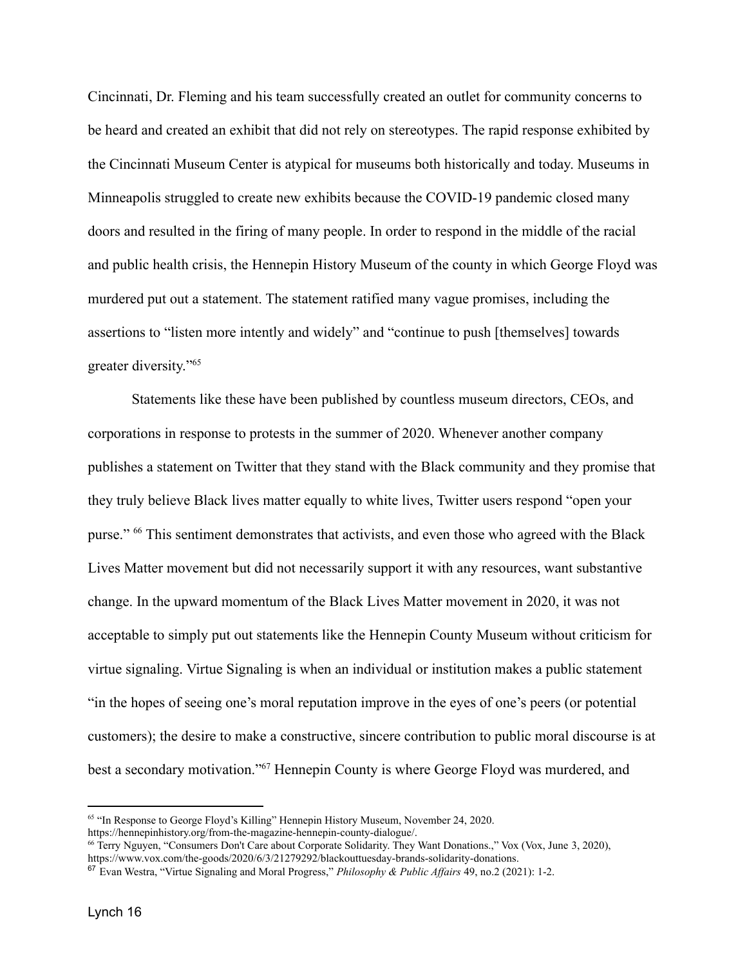Cincinnati, Dr. Fleming and his team successfully created an outlet for community concerns to be heard and created an exhibit that did not rely on stereotypes. The rapid response exhibited by the Cincinnati Museum Center is atypical for museums both historically and today. Museums in Minneapolis struggled to create new exhibits because the COVID-19 pandemic closed many doors and resulted in the firing of many people. In order to respond in the middle of the racial and public health crisis, the Hennepin History Museum of the county in which George Floyd was murdered put out a statement. The statement ratified many vague promises, including the assertions to "listen more intently and widely" and "continue to push [themselves] towards greater diversity."<sup>65</sup>

Statements like these have been published by countless museum directors, CEOs, and corporations in response to protests in the summer of 2020. Whenever another company publishes a statement on Twitter that they stand with the Black community and they promise that they truly believe Black lives matter equally to white lives, Twitter users respond "open your purse." <sup>66</sup> This sentiment demonstrates that activists, and even those who agreed with the Black Lives Matter movement but did not necessarily support it with any resources, want substantive change. In the upward momentum of the Black Lives Matter movement in 2020, it was not acceptable to simply put out statements like the Hennepin County Museum without criticism for virtue signaling. Virtue Signaling is when an individual or institution makes a public statement "in the hopes of seeing one's moral reputation improve in the eyes of one's peers (or potential customers); the desire to make a constructive, sincere contribution to public moral discourse is at best a secondary motivation."<sup>67</sup> Hennepin County is where George Floyd was murdered, and

<sup>&</sup>lt;sup>65</sup> "In Response to George Floyd's Killing" Hennepin History Museum, November 24, 2020. https://hennepinhistory.org/from-the-magazine-hennepin-county-dialogue/.

<sup>&</sup>lt;sup>66</sup> Terry Nguyen, "Consumers Don't Care about Corporate Solidarity. They Want Donations.," Vox (Vox, June 3, 2020), https://www.vox.com/the-goods/2020/6/3/21279292/blackouttuesday-brands-solidarity-donations.

<sup>67</sup> Evan Westra, "Virtue Signaling and Moral Progress," *Philosophy & Public Affairs* 49, no.2 (2021): 1-2.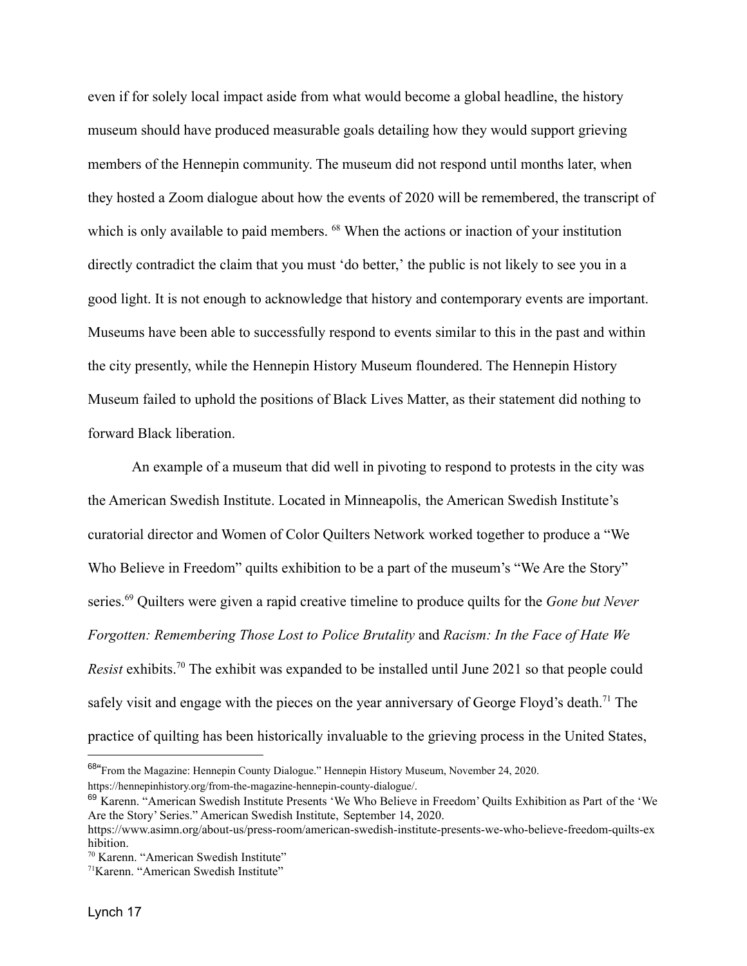even if for solely local impact aside from what would become a global headline, the history museum should have produced measurable goals detailing how they would support grieving members of the Hennepin community. The museum did not respond until months later, when they hosted a Zoom dialogue about how the events of 2020 will be remembered, the transcript of which is only available to paid members. <sup>68</sup> When the actions or inaction of your institution directly contradict the claim that you must 'do better,' the public is not likely to see you in a good light. It is not enough to acknowledge that history and contemporary events are important. Museums have been able to successfully respond to events similar to this in the past and within the city presently, while the Hennepin History Museum floundered. The Hennepin History Museum failed to uphold the positions of Black Lives Matter, as their statement did nothing to forward Black liberation.

An example of a museum that did well in pivoting to respond to protests in the city was the American Swedish Institute. Located in Minneapolis, the American Swedish Institute's curatorial director and Women of Color Quilters Network worked together to produce a "We Who Believe in Freedom" quilts exhibition to be a part of the museum's "We Are the Story" series.<sup>69</sup> Quilters were given a rapid creative timeline to produce quilts for the *Gone but Never Forgotten: Remembering Those Lost to Police Brutality* and *Racism: In the Face of Hate We Resist* exhibits.<sup>70</sup> The exhibit was expanded to be installed until June 2021 so that people could safely visit and engage with the pieces on the year anniversary of George Floyd's death.<sup>71</sup> The practice of quilting has been historically invaluable to the grieving process in the United States,

<sup>&</sup>lt;sup>68"</sup> From the Magazine: Hennepin County Dialogue." Hennepin History Museum, November 24, 2020. https://hennepinhistory.org/from-the-magazine-hennepin-county-dialogue/.

<sup>69</sup> Karenn. "American Swedish Institute Presents 'We Who Believe in Freedom' Quilts Exhibition as Part of the 'We Are the Story' Series." American Swedish Institute, September 14, 2020.

https://www.asimn.org/about-us/press-room/american-swedish-institute-presents-we-who-believe-freedom-quilts-ex hibition.

<sup>70</sup> Karenn. "American Swedish Institute"

<sup>71</sup>Karenn. "American Swedish Institute"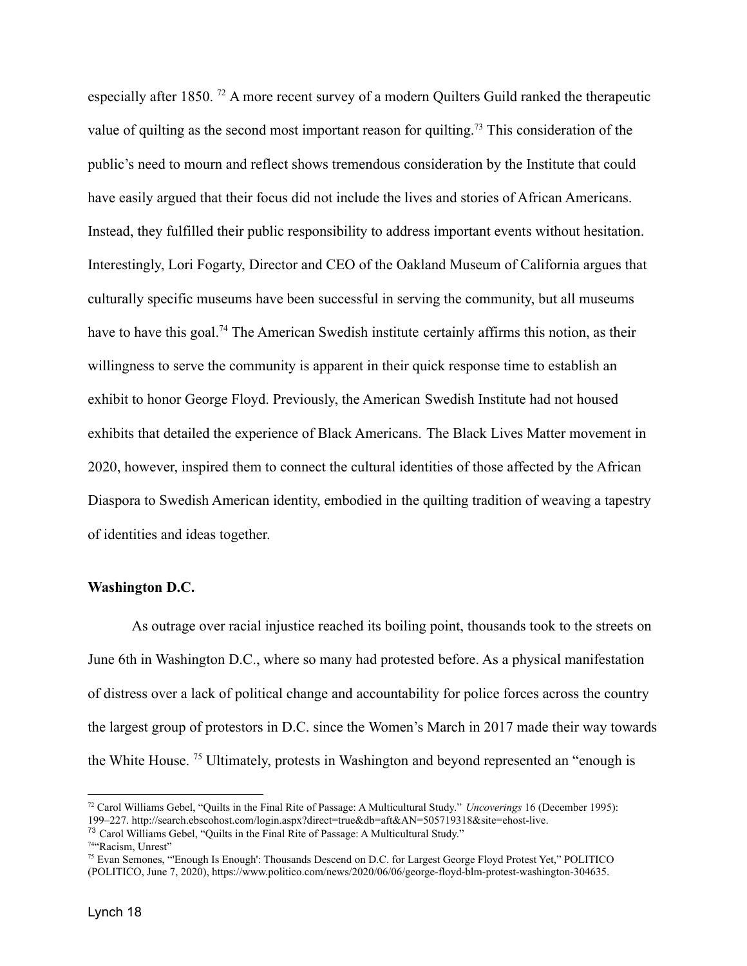especially after 1850. <sup>72</sup> A more recent survey of a modern Quilters Guild ranked the therapeutic value of quilting as the second most important reason for quilting.<sup>73</sup> This consideration of the public's need to mourn and reflect shows tremendous consideration by the Institute that could have easily argued that their focus did not include the lives and stories of African Americans. Instead, they fulfilled their public responsibility to address important events without hesitation. Interestingly, Lori Fogarty, Director and CEO of the Oakland Museum of California argues that culturally specific museums have been successful in serving the community, but all museums have to have this goal.<sup>74</sup> The American Swedish institute certainly affirms this notion, as their willingness to serve the community is apparent in their quick response time to establish an exhibit to honor George Floyd. Previously, the American Swedish Institute had not housed exhibits that detailed the experience of Black Americans. The Black Lives Matter movement in 2020, however, inspired them to connect the cultural identities of those affected by the African Diaspora to Swedish American identity, embodied in the quilting tradition of weaving a tapestry of identities and ideas together.

#### **Washington D.C.**

As outrage over racial injustice reached its boiling point, thousands took to the streets on June 6th in Washington D.C., where so many had protested before. As a physical manifestation of distress over a lack of political change and accountability for police forces across the country the largest group of protestors in D.C. since the Women's March in 2017 made their way towards the White House. <sup>75</sup> Ultimately, protests in Washington and beyond represented an "enough is

<sup>72</sup> Carol Williams Gebel, "Quilts in the Final Rite of Passage: A Multicultural Study." *Uncoverings* 16 (December 1995): 199–227. http://search.ebscohost.com/login.aspx?direct=true&db=aft&AN=505719318&site=ehost-live.

<sup>73</sup> Carol Williams Gebel, "Quilts in the Final Rite of Passage: A Multicultural Study."

<sup>74</sup>"Racism, Unrest"

<sup>75</sup> Evan Semones, "'Enough Is Enough': Thousands Descend on D.C. for Largest George Floyd Protest Yet," POLITICO (POLITICO, June 7, 2020), https://www.politico.com/news/2020/06/06/george-floyd-blm-protest-washington-304635.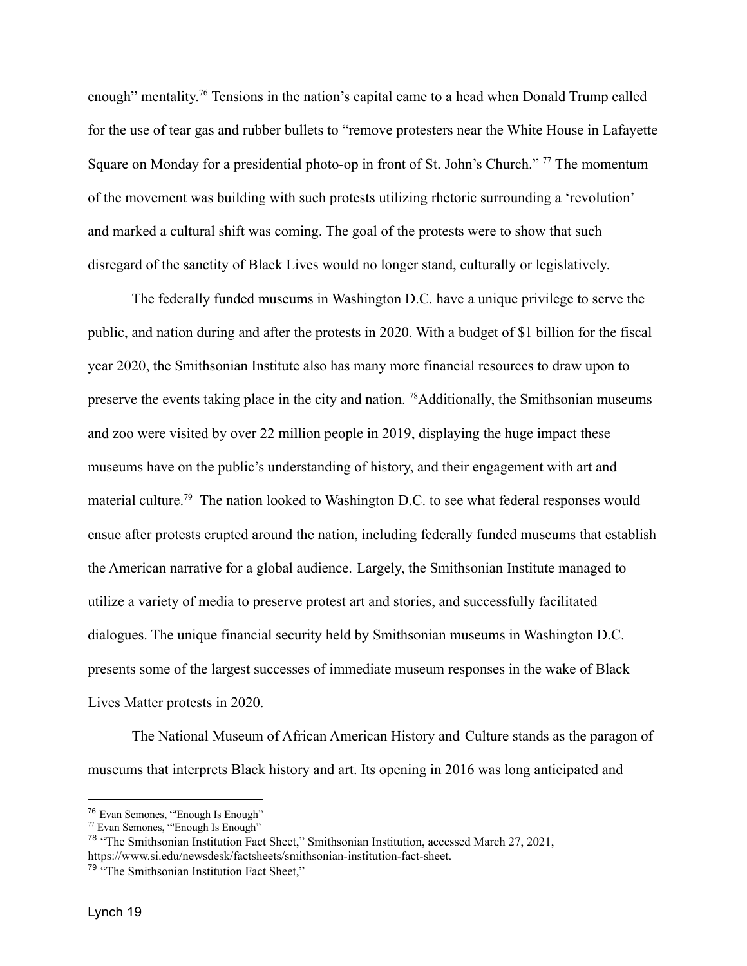enough" mentality.<sup>76</sup> Tensions in the nation's capital came to a head when Donald Trump called for the use of tear gas and rubber bullets to "remove protesters near the White House in Lafayette Square on Monday for a presidential photo-op in front of St. John's Church."<sup>77</sup> The momentum of the movement was building with such protests utilizing rhetoric surrounding a 'revolution' and marked a cultural shift was coming. The goal of the protests were to show that such disregard of the sanctity of Black Lives would no longer stand, culturally or legislatively.

The federally funded museums in Washington D.C. have a unique privilege to serve the public, and nation during and after the protests in 2020. With a budget of \$1 billion for the fiscal year 2020, the Smithsonian Institute also has many more financial resources to draw upon to preserve the events taking place in the city and nation. <sup>78</sup>Additionally, the Smithsonian museums and zoo were visited by over 22 million people in 2019, displaying the huge impact these museums have on the public's understanding of history, and their engagement with art and material culture.<sup>79</sup> The nation looked to Washington D.C. to see what federal responses would ensue after protests erupted around the nation, including federally funded museums that establish the American narrative for a global audience. Largely, the Smithsonian Institute managed to utilize a variety of media to preserve protest art and stories, and successfully facilitated dialogues. The unique financial security held by Smithsonian museums in Washington D.C. presents some of the largest successes of immediate museum responses in the wake of Black Lives Matter protests in 2020.

The National Museum of African American History and Culture stands as the paragon of museums that interprets Black history and art. Its opening in 2016 was long anticipated and

<sup>76</sup> Evan Semones, "'Enough Is Enough"

<sup>77</sup> Evan Semones, "'Enough Is Enough"

<sup>78</sup> "The Smithsonian Institution Fact Sheet," Smithsonian Institution, accessed March 27, 2021, https://www.si.edu/newsdesk/factsheets/smithsonian-institution-fact-sheet.

<sup>79</sup> "The Smithsonian Institution Fact Sheet,"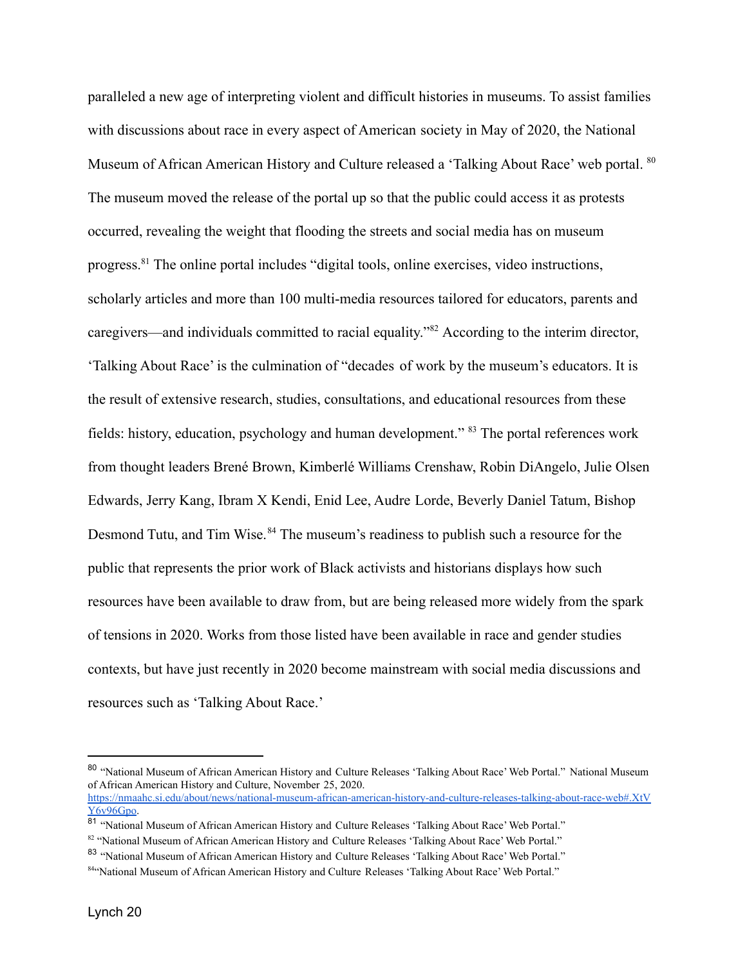paralleled a new age of interpreting violent and difficult histories in museums. To assist families with discussions about race in every aspect of American society in May of 2020, the National Museum of African American History and Culture released a 'Talking About Race' web portal. <sup>80</sup> The museum moved the release of the portal up so that the public could access it as protests occurred, revealing the weight that flooding the streets and social media has on museum progress.<sup>81</sup> The online portal includes "digital tools, online exercises, video instructions, scholarly articles and more than 100 multi-media resources tailored for educators, parents and caregivers—and individuals committed to racial equality."<sup>82</sup> According to the interim director, 'Talking About Race' is the culmination of "decades of work by the museum's educators. It is the result of extensive research, studies, consultations, and educational resources from these fields: history, education, psychology and human development." <sup>83</sup> The portal references work from thought leaders Brené Brown, Kimberlé Williams Crenshaw, Robin DiAngelo, Julie Olsen Edwards, Jerry Kang, Ibram X Kendi, Enid Lee, Audre Lorde, Beverly Daniel Tatum, Bishop Desmond Tutu, and Tim Wise.<sup>84</sup> The museum's readiness to publish such a resource for the public that represents the prior work of Black activists and historians displays how such resources have been available to draw from, but are being released more widely from the spark of tensions in 2020. Works from those listed have been available in race and gender studies contexts, but have just recently in 2020 become mainstream with social media discussions and resources such as 'Talking About Race.'

<sup>&</sup>lt;sup>80</sup> "National Museum of African American History and Culture Releases 'Talking About Race' Web Portal." National Museum of African American History and Culture, November 25, 2020. [https://nmaahc.si.edu/about/news/national-museum-african-american-history-and-culture-releases-talking-about-race-web#.XtV](https://nmaahc.si.edu/about/news/national-museum-african-american-history-and-culture-releases-talking-about-race-web#.XtVY6v96Gpo) [Y6v96Gpo.](https://nmaahc.si.edu/about/news/national-museum-african-american-history-and-culture-releases-talking-about-race-web#.XtVY6v96Gpo)

<sup>&</sup>lt;sup>81</sup> "National Museum of African American History and Culture Releases 'Talking About Race' Web Portal."

<sup>82 &</sup>quot;National Museum of African American History and Culture Releases 'Talking About Race' Web Portal."

<sup>&</sup>lt;sup>83</sup> "National Museum of African American History and Culture Releases 'Talking About Race' Web Portal."

<sup>84&</sup>quot;National Museum of African American History and Culture Releases 'Talking About Race' Web Portal."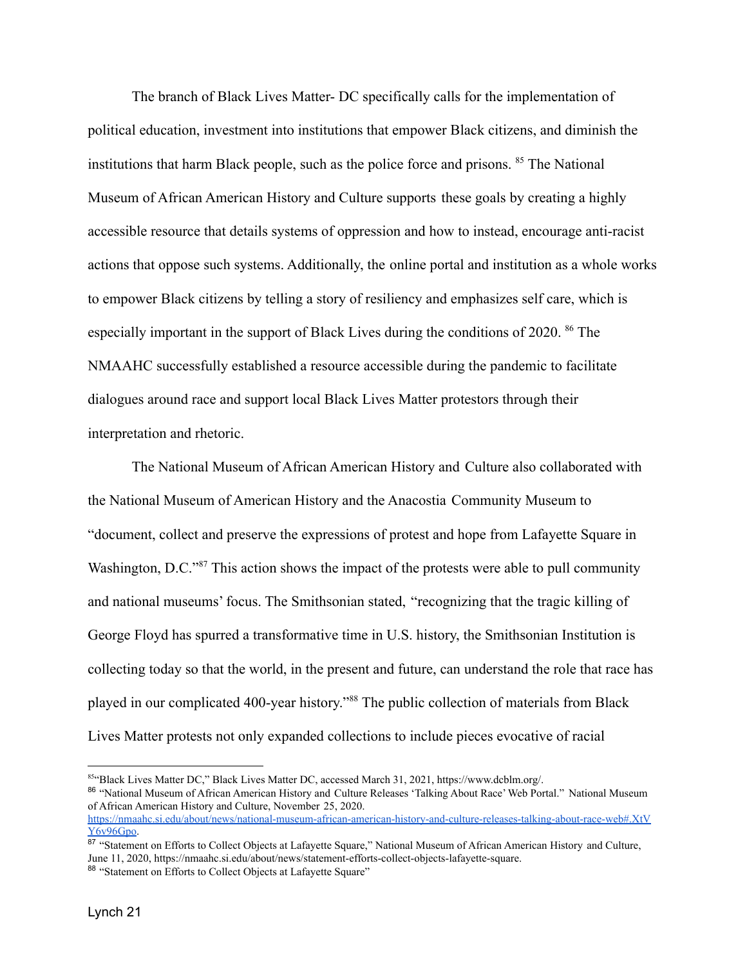The branch of Black Lives Matter- DC specifically calls for the implementation of political education, investment into institutions that empower Black citizens, and diminish the institutions that harm Black people, such as the police force and prisons. <sup>85</sup> The National Museum of African American History and Culture supports these goals by creating a highly accessible resource that details systems of oppression and how to instead, encourage anti-racist actions that oppose such systems. Additionally, the online portal and institution as a whole works to empower Black citizens by telling a story of resiliency and emphasizes self care, which is especially important in the support of Black Lives during the conditions of 2020. <sup>86</sup> The NMAAHC successfully established a resource accessible during the pandemic to facilitate dialogues around race and support local Black Lives Matter protestors through their interpretation and rhetoric.

The National Museum of African American History and Culture also collaborated with the National Museum of American History and the Anacostia Community Museum to "document, collect and preserve the expressions of protest and hope from Lafayette Square in Washington, D.C.<sup>287</sup> This action shows the impact of the protests were able to pull community and national museums' focus. The Smithsonian stated, "recognizing that the tragic killing of George Floyd has spurred a transformative time in U.S. history, the Smithsonian Institution is collecting today so that the world, in the present and future, can understand the role that race has played in our complicated 400-year history."<sup>88</sup> The public collection of materials from Black Lives Matter protests not only expanded collections to include pieces evocative of racial

86 "National Museum of African American History and Culture Releases 'Talking About Race' Web Portal." National Museum of African American History and Culture, November 25, 2020. [https://nmaahc.si.edu/about/news/national-museum-african-american-history-and-culture-releases-talking-about-race-web#.XtV](https://nmaahc.si.edu/about/news/national-museum-african-american-history-and-culture-releases-talking-about-race-web#.XtVY6v96Gpo)

<sup>85&</sup>quot;Black Lives Matter DC," Black Lives Matter DC, accessed March 31, 2021, https://www.dcblm.org/.

[Y6v96Gpo.](https://nmaahc.si.edu/about/news/national-museum-african-american-history-and-culture-releases-talking-about-race-web#.XtVY6v96Gpo)

<sup>87 &</sup>quot;Statement on Efforts to Collect Objects at Lafayette Square," National Museum of African American History and Culture, June 11, 2020, https://nmaahc.si.edu/about/news/statement-efforts-collect-objects-lafayette-square.

<sup>88 &</sup>quot;Statement on Efforts to Collect Objects at Lafayette Square"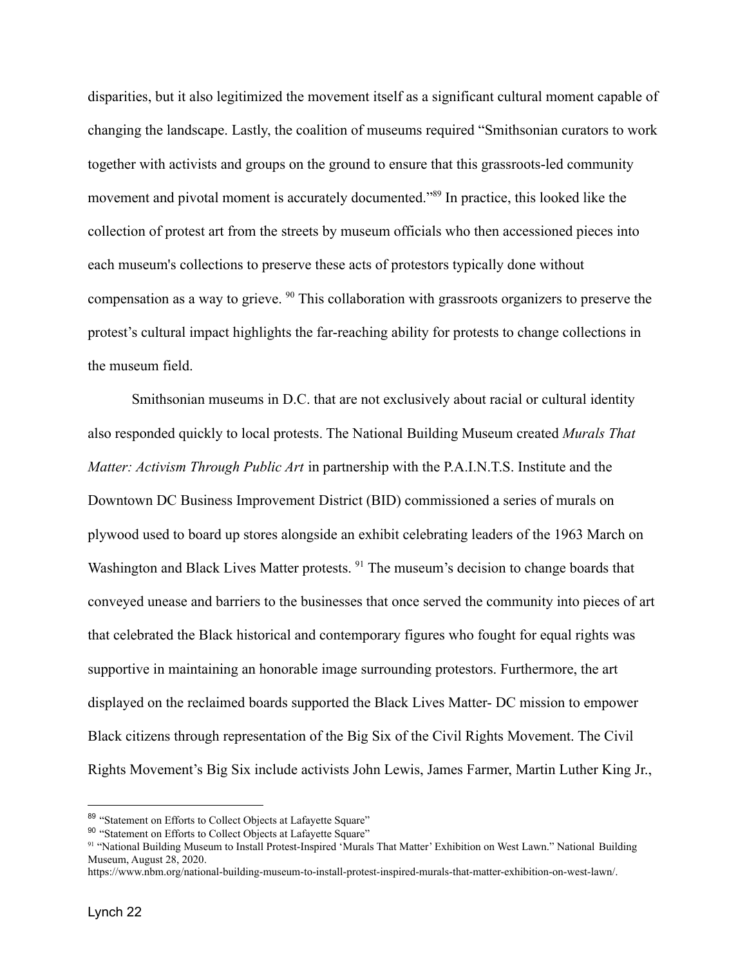disparities, but it also legitimized the movement itself as a significant cultural moment capable of changing the landscape. Lastly, the coalition of museums required "Smithsonian curators to work together with activists and groups on the ground to ensure that this grassroots-led community movement and pivotal moment is accurately documented."<sup>89</sup> In practice, this looked like the collection of protest art from the streets by museum officials who then accessioned pieces into each museum's collections to preserve these acts of protestors typically done without compensation as a way to grieve. <sup>90</sup> This collaboration with grassroots organizers to preserve the protest's cultural impact highlights the far-reaching ability for protests to change collections in the museum field.

Smithsonian museums in D.C. that are not exclusively about racial or cultural identity also responded quickly to local protests. The National Building Museum created *Murals That Matter: Activism Through Public Art* in partnership with the P.A.I.N.T.S. Institute and the Downtown DC Business Improvement District (BID) commissioned a series of murals on plywood used to board up stores alongside an exhibit celebrating leaders of the 1963 March on Washington and Black Lives Matter protests. <sup>91</sup> The museum's decision to change boards that conveyed unease and barriers to the businesses that once served the community into pieces of art that celebrated the Black historical and contemporary figures who fought for equal rights was supportive in maintaining an honorable image surrounding protestors. Furthermore, the art displayed on the reclaimed boards supported the Black Lives Matter- DC mission to empower Black citizens through representation of the Big Six of the Civil Rights Movement. The Civil Rights Movement's Big Six include activists John Lewis, James Farmer, Martin Luther King Jr.,

<sup>89 &</sup>quot;Statement on Efforts to Collect Objects at Lafayette Square"

<sup>90</sup> "Statement on Efforts to Collect Objects at Lafayette Square"

<sup>91</sup> "National Building Museum to Install Protest-Inspired 'Murals That Matter' Exhibition on West Lawn." National Building Museum, August 28, 2020.

https://www.nbm.org/national-building-museum-to-install-protest-inspired-murals-that-matter-exhibition-on-west-lawn/.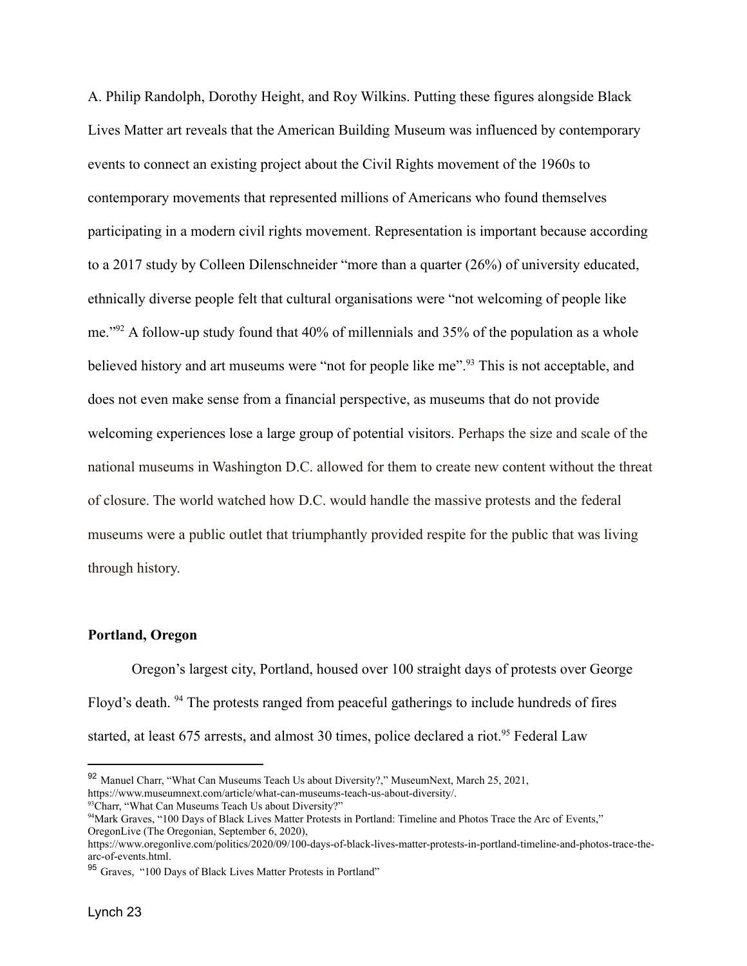A. Philip Randolph, Dorothy Height, and Roy Wilkins. Putting these figures alongside Black Lives Matter art reveals that the American Building Museum was influenced by contemporary events to connect an existing project about the Civil Rights movement of the 1960s to contemporary movements that represented millions of Americans who found themselves participating in a modern civil rights movement. Representation is important because according to a 2017 study by Colleen Dilenschneider "more than a quarter (26%) of university educated, ethnically diverse people felt that cultural organisations were "not welcoming of people like me."<sup>92</sup> A follow-up study found that 40% of millennials and 35% of the population as a whole believed history and art museums were "not for people like me".<sup>93</sup> This is not acceptable, and does not even make sense from a financial perspective, as museums that do not provide welcoming experiences lose a large group of potential visitors. Perhaps the size and scale of the national museums in Washington D.C. allowed for them to create new content without the threat of closure. The world watched how D.C. would handle the massive protests and the federal museums were a public outlet that triumphantly provided respite for the public that was living through history.

#### **Portland, Oregon**

Oregon's largest city, Portland, housed over 100 straight days of protests over George Floyd's death. <sup>94</sup> The protests ranged from peaceful gatherings to include hundreds of fires started, at least 675 arrests, and almost 30 times, police declared a riot.<sup>95</sup> Federal Law

 $93$ Charr, "What Can Museums Teach Us about Diversity?"

<sup>92</sup> Manuel Charr, "What Can Museums Teach Us about Diversity?," MuseumNext, March 25, 2021, https://www.museumnext.com/article/what-can-museums-teach-us-about-diversity/.

<sup>94</sup>Mark Graves, "100 Days of Black Lives Matter Protests in Portland: Timeline and Photos Trace the Arc of Events," OregonLive (The Oregonian, September 6, 2020),

https://www.oregonlive.com/politics/2020/09/100-days-of-black-lives-matter-protests-in-portland-timeline-and-photos-trace-thearc-of-events.html.

<sup>95</sup> Graves, "100 Days of Black Lives Matter Protests in Portland"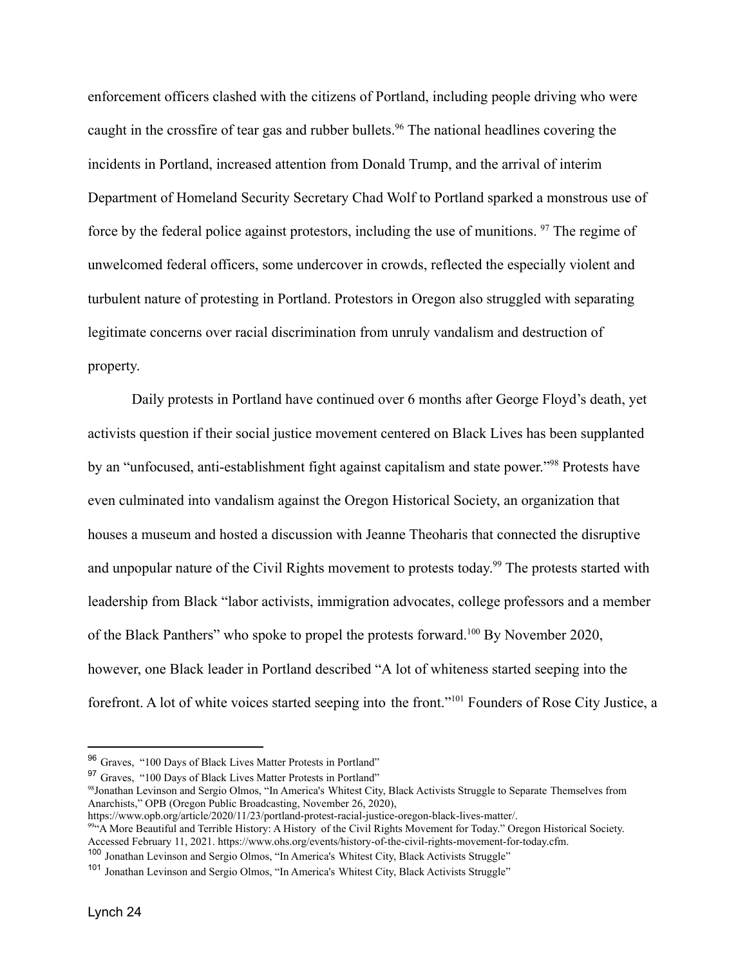enforcement officers clashed with the citizens of Portland, including people driving who were caught in the crossfire of tear gas and rubber bullets.<sup>96</sup> The national headlines covering the incidents in Portland, increased attention from Donald Trump, and the arrival of interim Department of Homeland Security Secretary Chad Wolf to Portland sparked a monstrous use of force by the federal police against protestors, including the use of munitions. <sup>97</sup> The regime of unwelcomed federal officers, some undercover in crowds, reflected the especially violent and turbulent nature of protesting in Portland. Protestors in Oregon also struggled with separating legitimate concerns over racial discrimination from unruly vandalism and destruction of property.

Daily protests in Portland have continued over 6 months after George Floyd's death, yet activists question if their social justice movement centered on Black Lives has been supplanted by an "unfocused, anti-establishment fight against capitalism and state power."<sup>98</sup> Protests have even culminated into vandalism against the Oregon Historical Society, an organization that houses a museum and hosted a discussion with Jeanne Theoharis that connected the disruptive and unpopular nature of the Civil Rights movement to protests today.<sup>99</sup> The protests started with leadership from Black "labor activists, immigration advocates, college professors and a member of the Black Panthers" who spoke to propel the protests forward.<sup>100</sup> By November 2020, however, one Black leader in Portland described "A lot of whiteness started seeping into the forefront. A lot of white voices started seeping into the front."<sup>101</sup> Founders of Rose City Justice, a

<sup>96</sup> Graves, "100 Days of Black Lives Matter Protests in Portland"

<sup>&</sup>lt;sup>97</sup> Graves, "100 Days of Black Lives Matter Protests in Portland"

<sup>98</sup>Jonathan Levinson and Sergio Olmos, "In America's Whitest City, Black Activists Struggle to Separate Themselves from Anarchists," OPB (Oregon Public Broadcasting, November 26, 2020),

https://www.opb.org/article/2020/11/23/portland-protest-racial-justice-oregon-black-lives-matter/.

<sup>99&</sup>lt;sup>64</sup>A More Beautiful and Terrible History: A History of the Civil Rights Movement for Today." Oregon Historical Society. Accessed February 11, 2021. https://www.ohs.org/events/history-of-the-civil-rights-movement-for-today.cfm.

<sup>&</sup>lt;sup>100</sup> Jonathan Levinson and Sergio Olmos, "In America's Whitest City, Black Activists Struggle"

<sup>&</sup>lt;sup>101</sup> Jonathan Levinson and Sergio Olmos, "In America's Whitest City, Black Activists Struggle"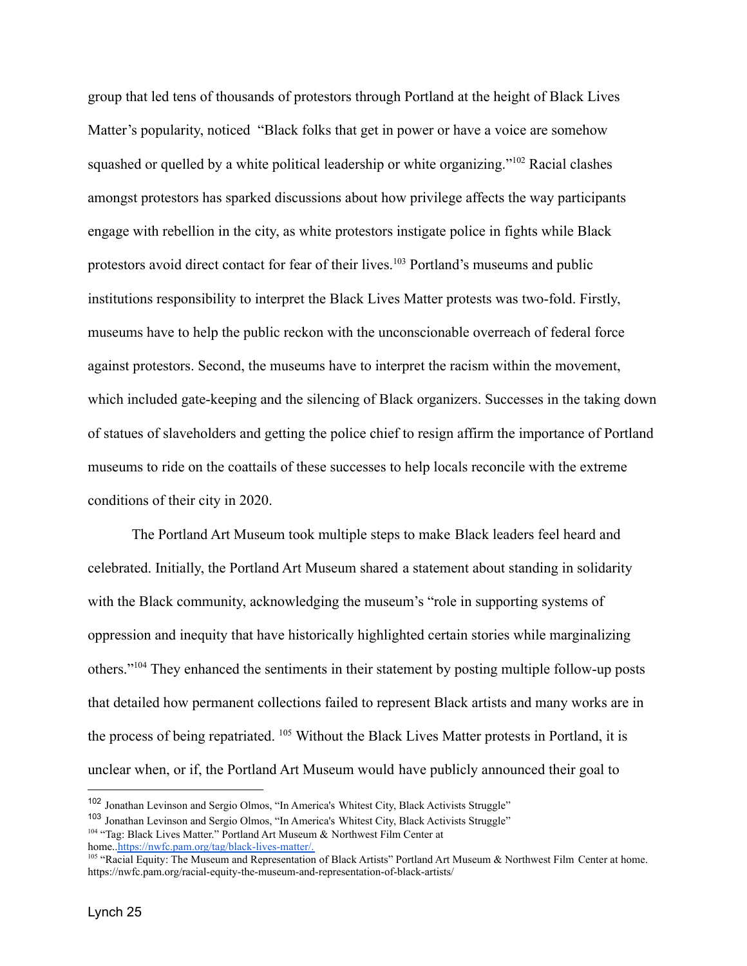group that led tens of thousands of protestors through Portland at the height of Black Lives Matter's popularity, noticed "Black folks that get in power or have a voice are somehow squashed or quelled by a white political leadership or white organizing."<sup>102</sup> Racial clashes amongst protestors has sparked discussions about how privilege affects the way participants engage with rebellion in the city, as white protestors instigate police in fights while Black protestors avoid direct contact for fear of their lives.<sup>103</sup> Portland's museums and public institutions responsibility to interpret the Black Lives Matter protests was two-fold. Firstly, museums have to help the public reckon with the unconscionable overreach of federal force against protestors. Second, the museums have to interpret the racism within the movement, which included gate-keeping and the silencing of Black organizers. Successes in the taking down of statues of slaveholders and getting the police chief to resign affirm the importance of Portland museums to ride on the coattails of these successes to help locals reconcile with the extreme conditions of their city in 2020.

The Portland Art Museum took multiple steps to make Black leaders feel heard and celebrated. Initially, the Portland Art Museum shared a statement about standing in solidarity with the Black community, acknowledging the museum's "role in supporting systems of oppression and inequity that have historically highlighted certain stories while marginalizing others."<sup>104</sup> They enhanced the sentiments in their statement by posting multiple follow-up posts that detailed how permanent collections failed to represent Black artists and many works are in the process of being repatriated. <sup>105</sup> Without the Black Lives Matter protests in Portland, it is unclear when, or if, the Portland Art Museum would have publicly announced their goal to

<sup>&</sup>lt;sup>102</sup> Jonathan Levinson and Sergio Olmos, "In America's Whitest City, Black Activists Struggle"

<sup>&</sup>lt;sup>103</sup> Jonathan Levinson and Sergio Olmos, "In America's Whitest City, Black Activists Struggle"

<sup>&</sup>lt;sup>104</sup> "Tag: Black Lives Matter." Portland Art Museum & Northwest Film Center at home.[.https://nwfc.pam.org/tag/black-lives-matter/.](https://nwfc.pam.org/tag/black-lives-matter/)

<sup>105</sup> "Racial Equity: The Museum and Representation of Black Artists" Portland Art Museum & Northwest Film Center at home. https://nwfc.pam.org/racial-equity-the-museum-and-representation-of-black-artists/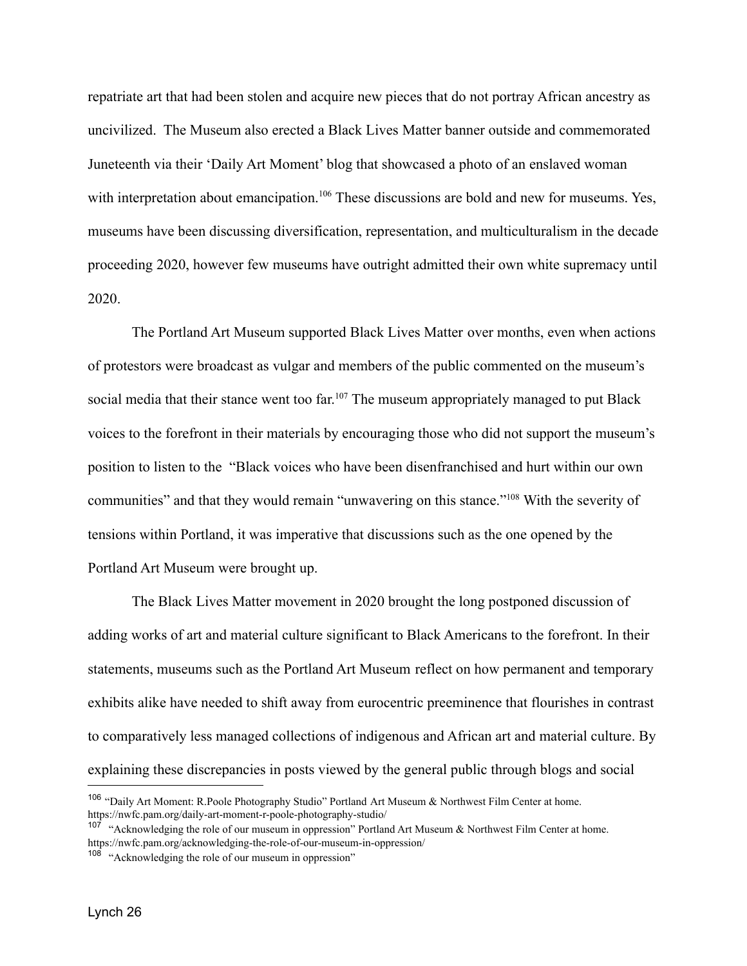repatriate art that had been stolen and acquire new pieces that do not portray African ancestry as uncivilized. The Museum also erected a Black Lives Matter banner outside and commemorated Juneteenth via their 'Daily Art Moment' blog that showcased a photo of an enslaved woman with interpretation about emancipation.<sup>106</sup> These discussions are bold and new for museums. Yes, museums have been discussing diversification, representation, and multiculturalism in the decade proceeding 2020, however few museums have outright admitted their own white supremacy until 2020.

The Portland Art Museum supported Black Lives Matter over months, even when actions of protestors were broadcast as vulgar and members of the public commented on the museum's social media that their stance went too far.<sup>107</sup> The museum appropriately managed to put Black voices to the forefront in their materials by encouraging those who did not support the museum's position to listen to the "Black voices who have been disenfranchised and hurt within our own communities" and that they would remain "unwavering on this stance."<sup>108</sup> With the severity of tensions within Portland, it was imperative that discussions such as the one opened by the Portland Art Museum were brought up.

The Black Lives Matter movement in 2020 brought the long postponed discussion of adding works of art and material culture significant to Black Americans to the forefront. In their statements, museums such as the Portland Art Museum reflect on how permanent and temporary exhibits alike have needed to shift away from eurocentric preeminence that flourishes in contrast to comparatively less managed collections of indigenous and African art and material culture. By explaining these discrepancies in posts viewed by the general public through blogs and social

<sup>&</sup>lt;sup>106</sup> "Daily Art Moment: R.Poole Photography Studio" Portland Art Museum & Northwest Film Center at home. https://nwfc.pam.org/daily-art-moment-r-poole-photography-studio/

<sup>&</sup>lt;sup>107</sup> "Acknowledging the role of our museum in oppression" Portland Art Museum & Northwest Film Center at home. https://nwfc.pam.org/acknowledging-the-role-of-our-museum-in-oppression/

<sup>&</sup>lt;sup>108</sup> "Acknowledging the role of our museum in oppression"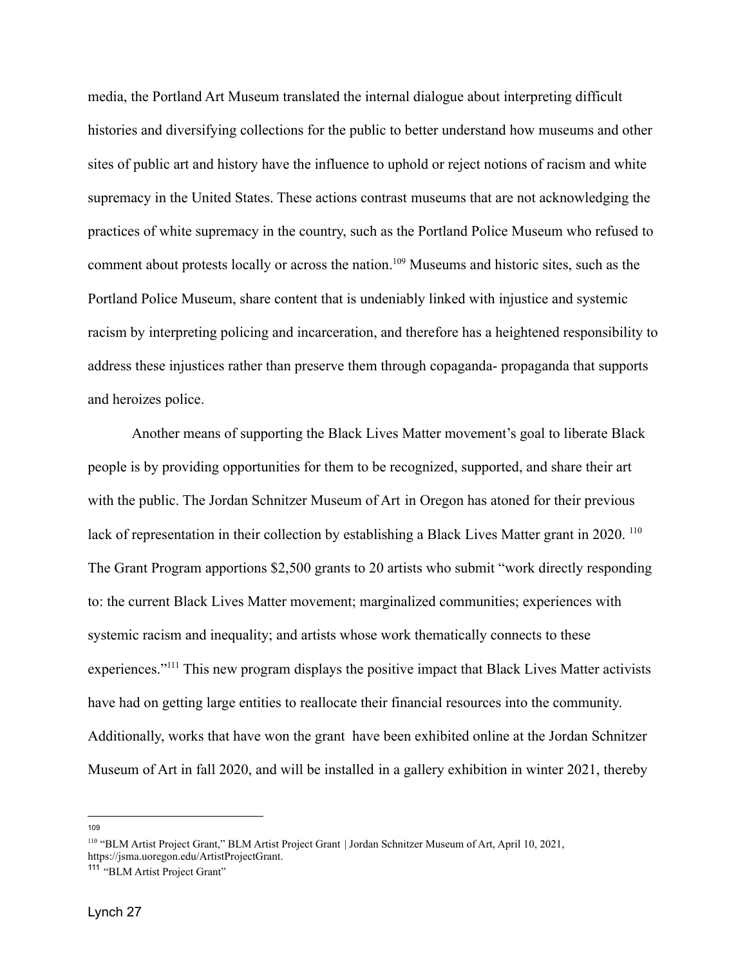media, the Portland Art Museum translated the internal dialogue about interpreting difficult histories and diversifying collections for the public to better understand how museums and other sites of public art and history have the influence to uphold or reject notions of racism and white supremacy in the United States. These actions contrast museums that are not acknowledging the practices of white supremacy in the country, such as the Portland Police Museum who refused to comment about protests locally or across the nation.<sup>109</sup> Museums and historic sites, such as the Portland Police Museum, share content that is undeniably linked with injustice and systemic racism by interpreting policing and incarceration, and therefore has a heightened responsibility to address these injustices rather than preserve them through copaganda- propaganda that supports and heroizes police.

Another means of supporting the Black Lives Matter movement's goal to liberate Black people is by providing opportunities for them to be recognized, supported, and share their art with the public. The Jordan Schnitzer Museum of Art in Oregon has atoned for their previous lack of representation in their collection by establishing a Black Lives Matter grant in 2020.<sup>110</sup> The Grant Program apportions \$2,500 grants to 20 artists who submit "work directly responding to: the current Black Lives Matter movement; marginalized communities; experiences with systemic racism and inequality; and artists whose work thematically connects to these experiences."<sup>111</sup> This new program displays the positive impact that Black Lives Matter activists have had on getting large entities to reallocate their financial resources into the community. Additionally, works that have won the grant have been exhibited online at the Jordan Schnitzer Museum of Art in fall 2020, and will be installed in a gallery exhibition in winter 2021, thereby

109

<sup>110</sup> "BLM Artist Project Grant," BLM Artist Project Grant | Jordan Schnitzer Museum of Art, April 10, 2021, https://jsma.uoregon.edu/ArtistProjectGrant.

<sup>&</sup>lt;sup>111</sup> "BLM Artist Project Grant"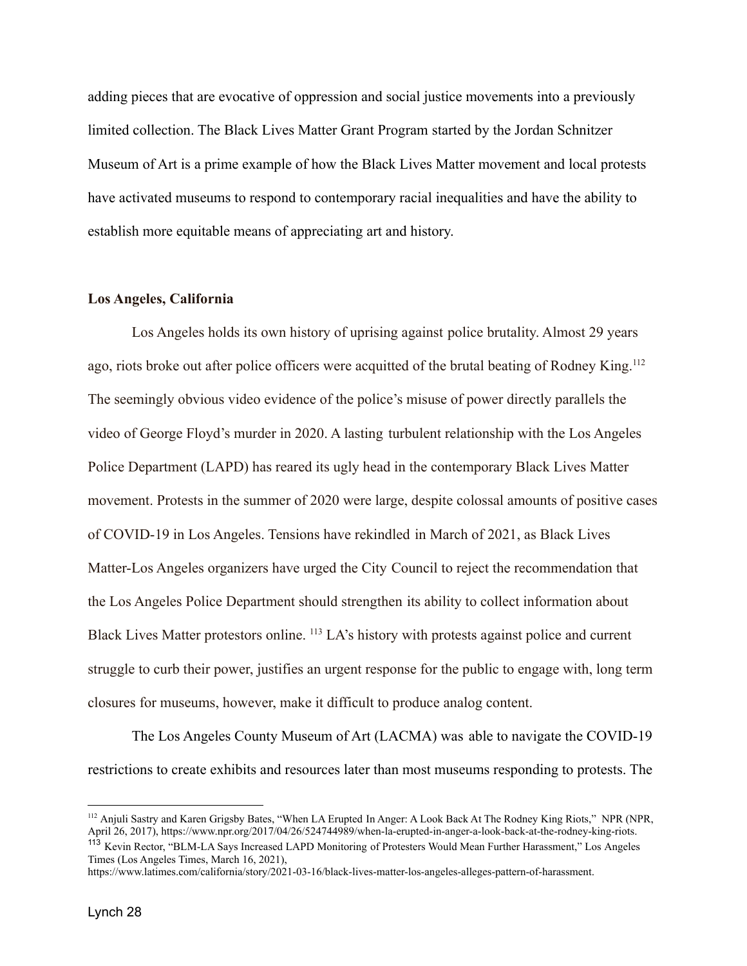adding pieces that are evocative of oppression and social justice movements into a previously limited collection. The Black Lives Matter Grant Program started by the Jordan Schnitzer Museum of Art is a prime example of how the Black Lives Matter movement and local protests have activated museums to respond to contemporary racial inequalities and have the ability to establish more equitable means of appreciating art and history.

## **Los Angeles, California**

Los Angeles holds its own history of uprising against police brutality. Almost 29 years ago, riots broke out after police officers were acquitted of the brutal beating of Rodney King.<sup>112</sup> The seemingly obvious video evidence of the police's misuse of power directly parallels the video of George Floyd's murder in 2020. A lasting turbulent relationship with the Los Angeles Police Department (LAPD) has reared its ugly head in the contemporary Black Lives Matter movement. Protests in the summer of 2020 were large, despite colossal amounts of positive cases of COVID-19 in Los Angeles. Tensions have rekindled in March of 2021, as Black Lives Matter-Los Angeles organizers have urged the City Council to reject the recommendation that the Los Angeles Police Department should strengthen its ability to collect information about Black Lives Matter protestors online. <sup>113</sup> LA's history with protests against police and current struggle to curb their power, justifies an urgent response for the public to engage with, long term closures for museums, however, make it difficult to produce analog content.

The Los Angeles County Museum of Art (LACMA) was able to navigate the COVID-19 restrictions to create exhibits and resources later than most museums responding to protests. The

<sup>&</sup>lt;sup>112</sup> Anjuli Sastry and Karen Grigsby Bates, "When LA Erupted In Anger: A Look Back At The Rodney King Riots," NPR (NPR, April 26, 2017), https://www.npr.org/2017/04/26/524744989/when-la-erupted-in-anger-a-look-back-at-the-rodney-king-riots.

<sup>&</sup>lt;sup>113</sup> Kevin Rector, "BLM-LA Says Increased LAPD Monitoring of Protesters Would Mean Further Harassment," Los Angeles Times (Los Angeles Times, March 16, 2021),

https://www.latimes.com/california/story/2021-03-16/black-lives-matter-los-angeles-alleges-pattern-of-harassment.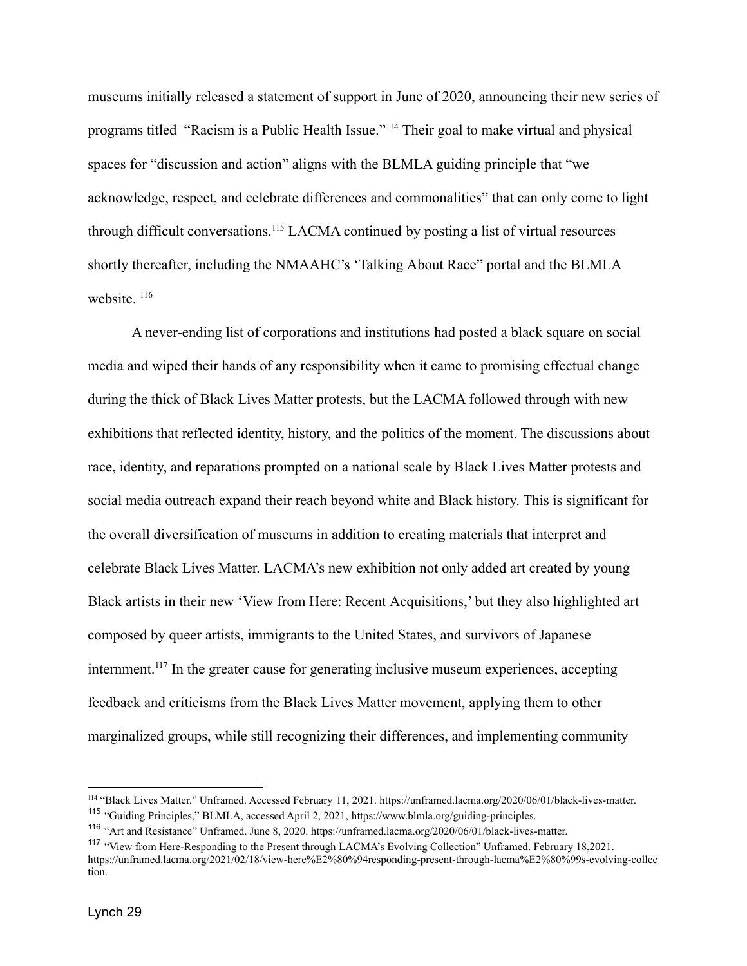museums initially released a statement of support in June of 2020, announcing their new series of programs titled "Racism is a Public Health Issue."<sup>114</sup> Their goal to make virtual and physical spaces for "discussion and action" aligns with the BLMLA guiding principle that "we acknowledge, respect, and celebrate differences and commonalities" that can only come to light through difficult conversations.<sup>115</sup> LACMA continued by posting a list of virtual resources shortly thereafter, including the NMAAHC's 'Talking About Race" portal and the BLMLA website.<sup>116</sup>

A never-ending list of corporations and institutions had posted a black square on social media and wiped their hands of any responsibility when it came to promising effectual change during the thick of Black Lives Matter protests, but the LACMA followed through with new exhibitions that reflected identity, history, and the politics of the moment. The discussions about race, identity, and reparations prompted on a national scale by Black Lives Matter protests and social media outreach expand their reach beyond white and Black history. This is significant for the overall diversification of museums in addition to creating materials that interpret and celebrate Black Lives Matter. LACMA's new exhibition not only added art created by young Black artists in their new 'View from Here: Recent Acquisitions,' but they also highlighted art composed by queer artists, immigrants to the United States, and survivors of Japanese internment.<sup>117</sup> In the greater cause for generating inclusive museum experiences, accepting feedback and criticisms from the Black Lives Matter movement, applying them to other marginalized groups, while still recognizing their differences, and implementing community

<sup>&</sup>lt;sup>115</sup> "Guiding Principles," BLMLA, accessed April 2, 2021, https://www.blmla.org/guiding-principles. <sup>114</sup> "Black Lives Matter." Unframed. Accessed February 11, 2021. https://unframed.lacma.org/2020/06/01/black-lives-matter.

<sup>&</sup>lt;sup>116</sup> "Art and Resistance" Unframed. June 8, 2020. https://unframed.lacma.org/2020/06/01/black-lives-matter.

<sup>&</sup>lt;sup>117</sup> "View from Here-Responding to the Present through LACMA's Evolving Collection" Unframed. February 18,2021. https://unframed.lacma.org/2021/02/18/view-here%E2%80%94responding-present-through-lacma%E2%80%99s-evolving-collec tion.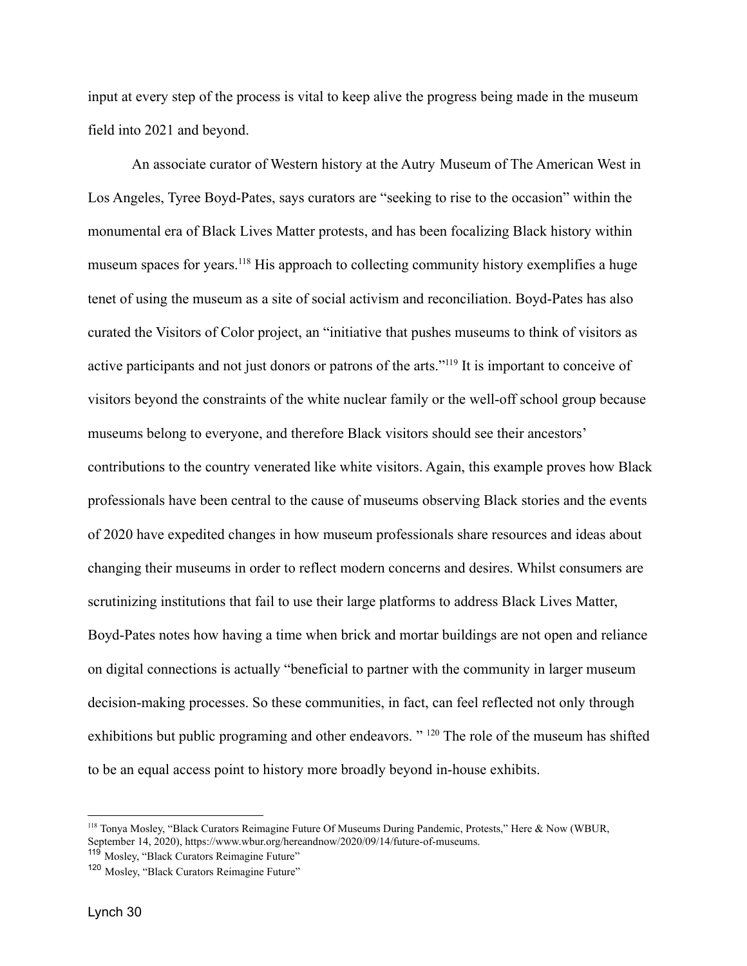input at every step of the process is vital to keep alive the progress being made in the museum field into 2021 and beyond.

An associate curator of Western history at the Autry Museum of The American West in Los Angeles, Tyree Boyd-Pates, says curators are "seeking to rise to the occasion" within the monumental era of Black Lives Matter protests, and has been focalizing Black history within museum spaces for years.<sup>118</sup> His approach to collecting community history exemplifies a huge tenet of using the museum as a site of social activism and reconciliation. Boyd-Pates has also curated the Visitors of Color project, an "initiative that pushes museums to think of visitors as active participants and not just donors or patrons of the arts."<sup>119</sup> It is important to conceive of visitors beyond the constraints of the white nuclear family or the well-off school group because museums belong to everyone, and therefore Black visitors should see their ancestors' contributions to the country venerated like white visitors. Again, this example proves how Black professionals have been central to the cause of museums observing Black stories and the events of 2020 have expedited changes in how museum professionals share resources and ideas about changing their museums in order to reflect modern concerns and desires. Whilst consumers are scrutinizing institutions that fail to use their large platforms to address Black Lives Matter, Boyd-Pates notes how having a time when brick and mortar buildings are not open and reliance on digital connections is actually "beneficial to partner with the community in larger museum decision-making processes. So these communities, in fact, can feel reflected not only through exhibitions but public programing and other endeavors."<sup>120</sup> The role of the museum has shifted to be an equal access point to history more broadly beyond in-house exhibits.

<sup>118</sup> Tonya Mosley, "Black Curators Reimagine Future Of Museums During Pandemic, Protests," Here & Now (WBUR, September 14, 2020), https://www.wbur.org/hereandnow/2020/09/14/future-of-museums.

<sup>&</sup>lt;sup>119</sup> Mosley, "Black Curators Reimagine Future"

<sup>120</sup> Mosley, "Black Curators Reimagine Future"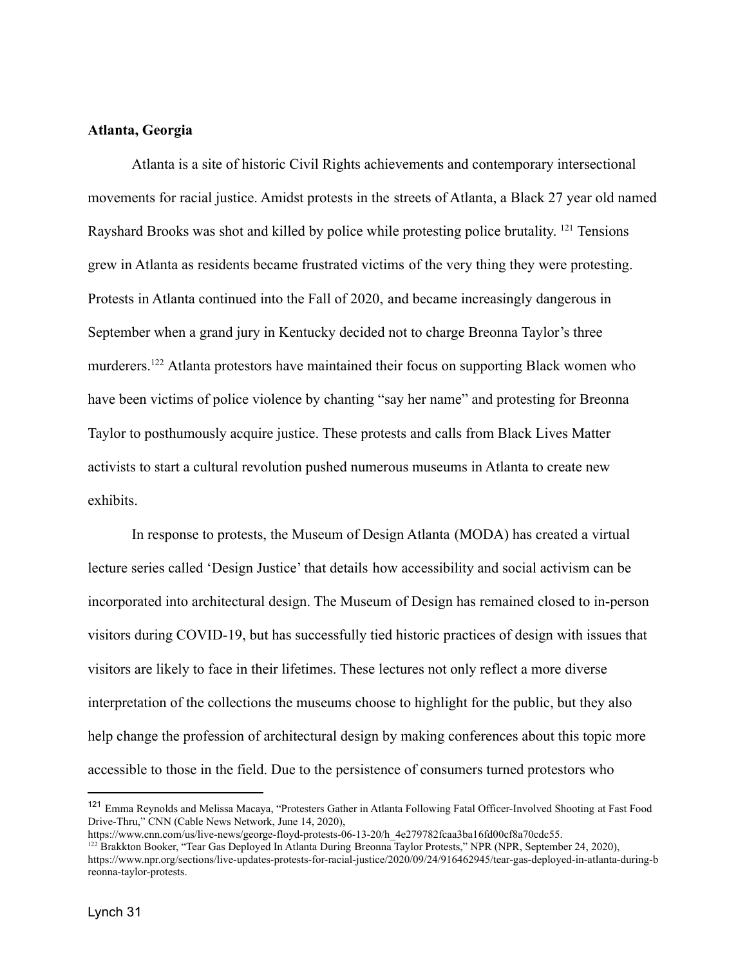# **Atlanta, Georgia**

Atlanta is a site of historic Civil Rights achievements and contemporary intersectional movements for racial justice. Amidst protests in the streets of Atlanta, a Black 27 year old named Rayshard Brooks was shot and killed by police while protesting police brutality.<sup>121</sup> Tensions grew in Atlanta as residents became frustrated victims of the very thing they were protesting. Protests in Atlanta continued into the Fall of 2020, and became increasingly dangerous in September when a grand jury in Kentucky decided not to charge Breonna Taylor's three murderers.<sup>122</sup> Atlanta protestors have maintained their focus on supporting Black women who have been victims of police violence by chanting "say her name" and protesting for Breonna Taylor to posthumously acquire justice. These protests and calls from Black Lives Matter activists to start a cultural revolution pushed numerous museums in Atlanta to create new exhibits.

In response to protests, the Museum of Design Atlanta (MODA) has created a virtual lecture series called 'Design Justice' that details how accessibility and social activism can be incorporated into architectural design. The Museum of Design has remained closed to in-person visitors during COVID-19, but has successfully tied historic practices of design with issues that visitors are likely to face in their lifetimes. These lectures not only reflect a more diverse interpretation of the collections the museums choose to highlight for the public, but they also help change the profession of architectural design by making conferences about this topic more accessible to those in the field. Due to the persistence of consumers turned protestors who

<sup>121</sup> Emma Reynolds and Melissa Macaya, "Protesters Gather in Atlanta Following Fatal Officer-Involved Shooting at Fast Food Drive-Thru," CNN (Cable News Network, June 14, 2020),

https://www.cnn.com/us/live-news/george-floyd-protests-06-13-20/h\_4e279782fcaa3ba16fd00cf8a70cdc55.

<sup>&</sup>lt;sup>122</sup> Brakkton Booker, "Tear Gas Deployed In Atlanta During Breonna Taylor Protests," NPR (NPR, September 24, 2020), https://www.npr.org/sections/live-updates-protests-for-racial-justice/2020/09/24/916462945/tear-gas-deployed-in-atlanta-during-b reonna-taylor-protests.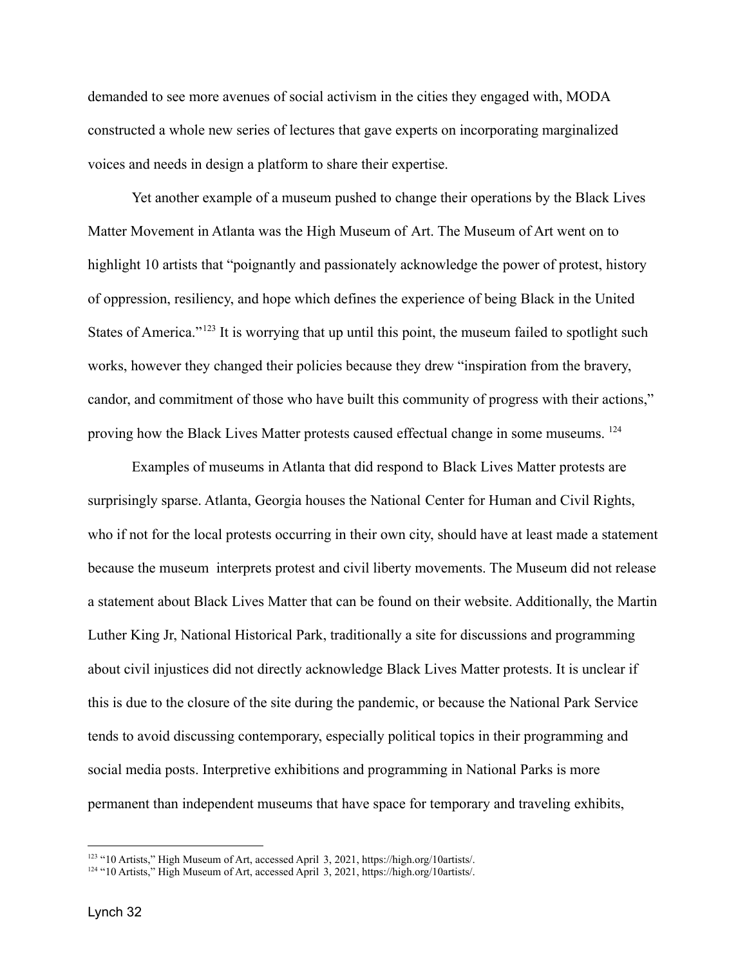demanded to see more avenues of social activism in the cities they engaged with, MODA constructed a whole new series of lectures that gave experts on incorporating marginalized voices and needs in design a platform to share their expertise.

Yet another example of a museum pushed to change their operations by the Black Lives Matter Movement in Atlanta was the High Museum of Art. The Museum of Art went on to highlight 10 artists that "poignantly and passionately acknowledge the power of protest, history of oppression, resiliency, and hope which defines the experience of being Black in the United States of America."<sup>123</sup> It is worrying that up until this point, the museum failed to spotlight such works, however they changed their policies because they drew "inspiration from the bravery, candor, and commitment of those who have built this community of progress with their actions," proving how the Black Lives Matter protests caused effectual change in some museums. <sup>124</sup>

Examples of museums in Atlanta that did respond to Black Lives Matter protests are surprisingly sparse. Atlanta, Georgia houses the National Center for Human and Civil Rights, who if not for the local protests occurring in their own city, should have at least made a statement because the museum interprets protest and civil liberty movements. The Museum did not release a statement about Black Lives Matter that can be found on their website. Additionally, the Martin Luther King Jr, National Historical Park, traditionally a site for discussions and programming about civil injustices did not directly acknowledge Black Lives Matter protests. It is unclear if this is due to the closure of the site during the pandemic, or because the National Park Service tends to avoid discussing contemporary, especially political topics in their programming and social media posts. Interpretive exhibitions and programming in National Parks is more permanent than independent museums that have space for temporary and traveling exhibits,

<sup>&</sup>lt;sup>123</sup> "10 Artists," High Museum of Art, accessed April 3, 2021, https://high.org/10artists/.

<sup>124</sup> "10 Artists," High Museum of Art, accessed April 3, 2021, https://high.org/10artists/.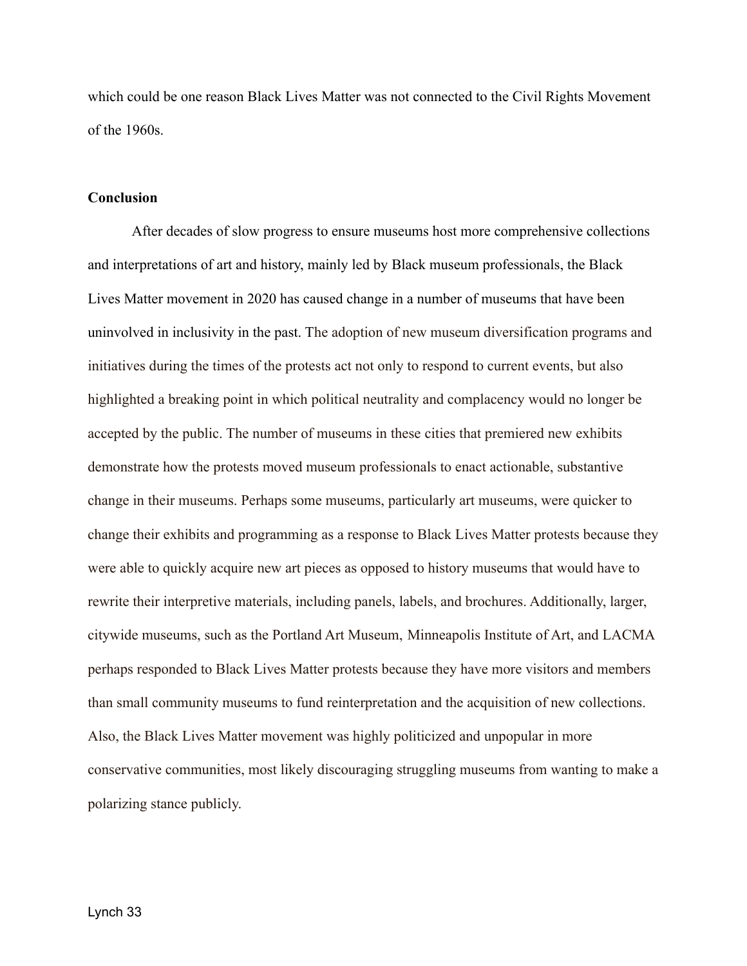which could be one reason Black Lives Matter was not connected to the Civil Rights Movement of the 1960s.

### **Conclusion**

After decades of slow progress to ensure museums host more comprehensive collections and interpretations of art and history, mainly led by Black museum professionals, the Black Lives Matter movement in 2020 has caused change in a number of museums that have been uninvolved in inclusivity in the past. The adoption of new museum diversification programs and initiatives during the times of the protests act not only to respond to current events, but also highlighted a breaking point in which political neutrality and complacency would no longer be accepted by the public. The number of museums in these cities that premiered new exhibits demonstrate how the protests moved museum professionals to enact actionable, substantive change in their museums. Perhaps some museums, particularly art museums, were quicker to change their exhibits and programming as a response to Black Lives Matter protests because they were able to quickly acquire new art pieces as opposed to history museums that would have to rewrite their interpretive materials, including panels, labels, and brochures. Additionally, larger, citywide museums, such as the Portland Art Museum, Minneapolis Institute of Art, and LACMA perhaps responded to Black Lives Matter protests because they have more visitors and members than small community museums to fund reinterpretation and the acquisition of new collections. Also, the Black Lives Matter movement was highly politicized and unpopular in more conservative communities, most likely discouraging struggling museums from wanting to make a polarizing stance publicly.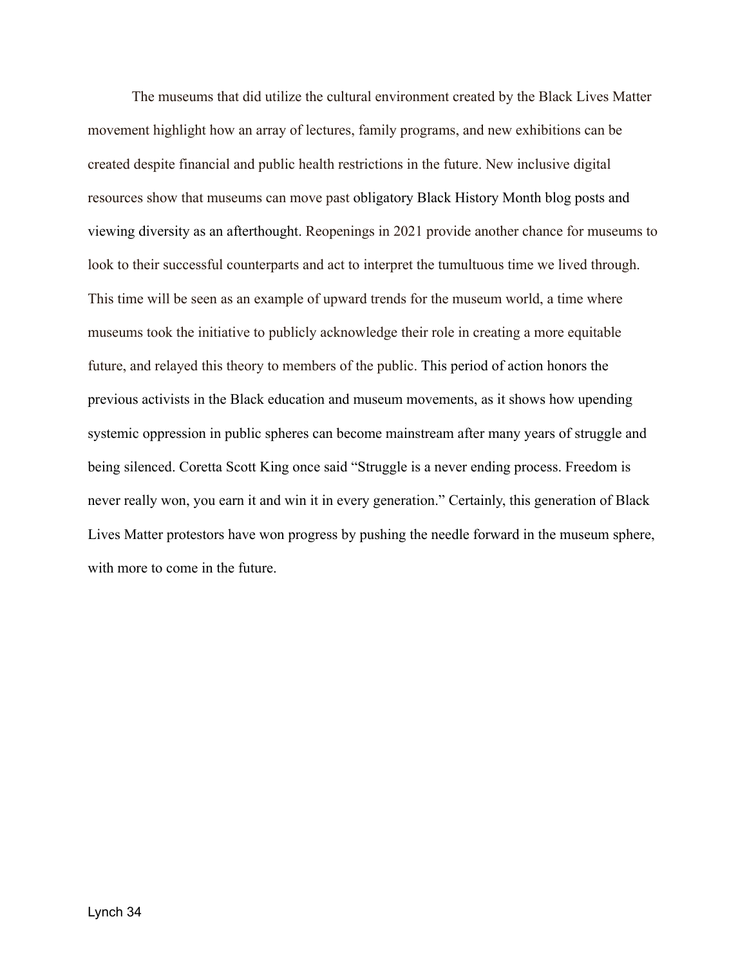The museums that did utilize the cultural environment created by the Black Lives Matter movement highlight how an array of lectures, family programs, and new exhibitions can be created despite financial and public health restrictions in the future. New inclusive digital resources show that museums can move past obligatory Black History Month blog posts and viewing diversity as an afterthought. Reopenings in 2021 provide another chance for museums to look to their successful counterparts and act to interpret the tumultuous time we lived through. This time will be seen as an example of upward trends for the museum world, a time where museums took the initiative to publicly acknowledge their role in creating a more equitable future, and relayed this theory to members of the public. This period of action honors the previous activists in the Black education and museum movements, as it shows how upending systemic oppression in public spheres can become mainstream after many years of struggle and being silenced. Coretta Scott King once said "Struggle is a never ending process. Freedom is never really won, you earn it and win it in every generation." Certainly, this generation of Black Lives Matter protestors have won progress by pushing the needle forward in the museum sphere, with more to come in the future.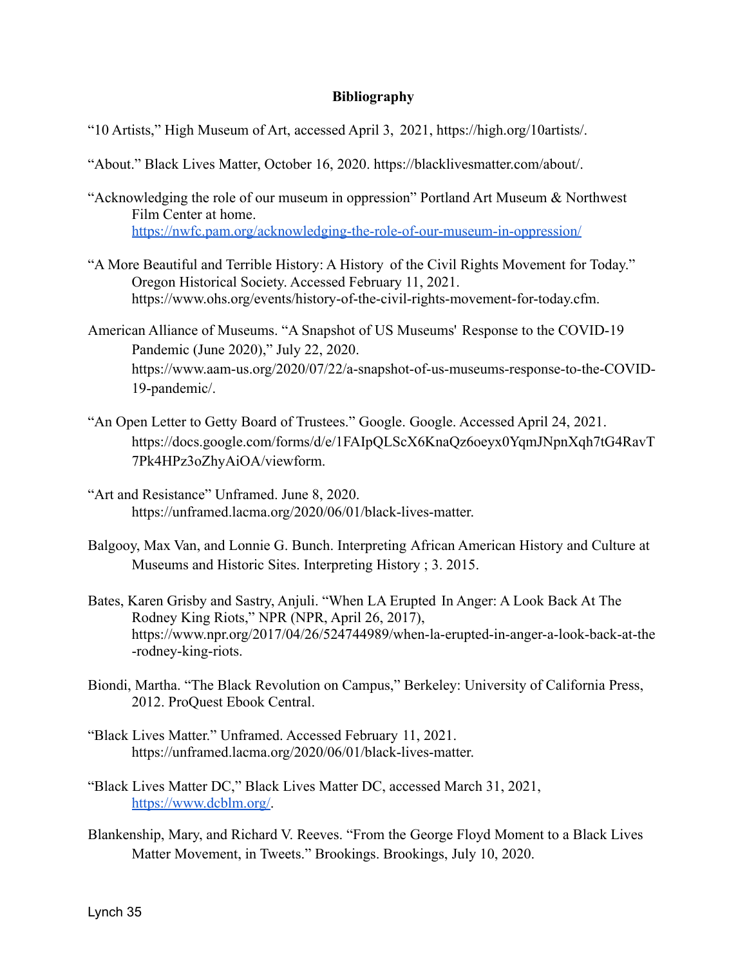# **Bibliography**

- "10 Artists," High Museum of Art, accessed April 3, 2021, https://high.org/10artists/.
- "About." Black Lives Matter, October 16, 2020. https://blacklivesmatter.com/about/.
- "Acknowledging the role of our museum in oppression" Portland Art Museum & Northwest Film Center at home. <https://nwfc.pam.org/acknowledging-the-role-of-our-museum-in-oppression/>
- "A More Beautiful and Terrible History: A History of the Civil Rights Movement for Today." Oregon Historical Society. Accessed February 11, 2021. https://www.ohs.org/events/history-of-the-civil-rights-movement-for-today.cfm.
- American Alliance of Museums. "A Snapshot of US Museums' Response to the COVID-19 Pandemic (June 2020)," July 22, 2020. https://www.aam-us.org/2020/07/22/a-snapshot-of-us-museums-response-to-the-COVID-19-pandemic/.
- "An Open Letter to Getty Board of Trustees." Google. Google. Accessed April 24, 2021. https://docs.google.com/forms/d/e/1FAIpQLScX6KnaQz6oeyx0YqmJNpnXqh7tG4RavT 7Pk4HPz3oZhyAiOA/viewform.
- "Art and Resistance" Unframed. June 8, 2020. https://unframed.lacma.org/2020/06/01/black-lives-matter.
- Balgooy, Max Van, and Lonnie G. Bunch. Interpreting African American History and Culture at Museums and Historic Sites. Interpreting History ; 3. 2015.
- Bates, Karen Grisby and Sastry, Anjuli. "When LA Erupted In Anger: A Look Back At The Rodney King Riots," NPR (NPR, April 26, 2017), https://www.npr.org/2017/04/26/524744989/when-la-erupted-in-anger-a-look-back-at-the -rodney-king-riots.
- Biondi, Martha. "The Black Revolution on Campus," Berkeley: University of California Press, 2012. ProQuest Ebook Central.
- "Black Lives Matter." Unframed. Accessed February 11, 2021. https://unframed.lacma.org/2020/06/01/black-lives-matter.
- "Black Lives Matter DC," Black Lives Matter DC, accessed March 31, 2021, [https://www.dcblm.org/.](https://www.dcblm.org/)
- Blankenship, Mary, and Richard V. Reeves. "From the George Floyd Moment to a Black Lives Matter Movement, in Tweets." Brookings. Brookings, July 10, 2020.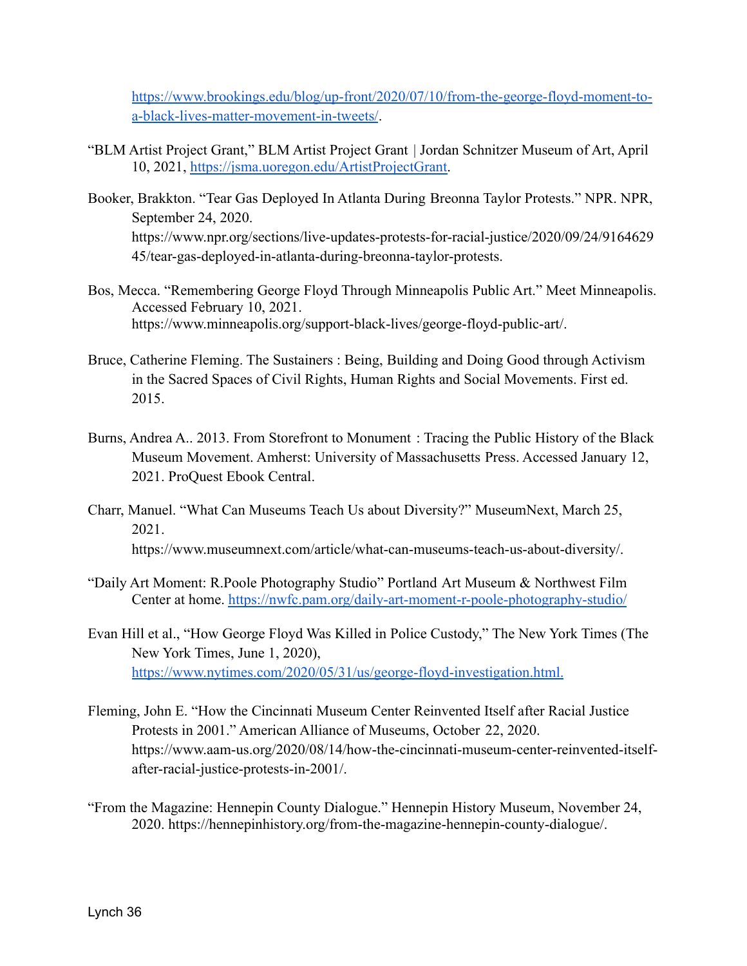[https://www.brookings.edu/blog/up-front/2020/07/10/from-the-george-floyd-moment-to](https://www.brookings.edu/blog/up-front/2020/07/10/from-the-george-floyd-moment-to-a-black-lives-matter-movement-in-tweets/)[a-black-lives-matter-movement-in-tweets/](https://www.brookings.edu/blog/up-front/2020/07/10/from-the-george-floyd-moment-to-a-black-lives-matter-movement-in-tweets/).

- "BLM Artist Project Grant," BLM Artist Project Grant | Jordan Schnitzer Museum of Art, April 10, 2021, [https://jsma.uoregon.edu/ArtistProjectGrant.](https://jsma.uoregon.edu/ArtistProjectGrant)
- Booker, Brakkton. "Tear Gas Deployed In Atlanta During Breonna Taylor Protests." NPR. NPR, September 24, 2020. https://www.npr.org/sections/live-updates-protests-for-racial-justice/2020/09/24/9164629 45/tear-gas-deployed-in-atlanta-during-breonna-taylor-protests.
- Bos, Mecca. "Remembering George Floyd Through Minneapolis Public Art." Meet Minneapolis. Accessed February 10, 2021. https://www.minneapolis.org/support-black-lives/george-floyd-public-art/.
- Bruce, Catherine Fleming. The Sustainers : Being, Building and Doing Good through Activism in the Sacred Spaces of Civil Rights, Human Rights and Social Movements. First ed. 2015.
- Burns, Andrea A.. 2013. From Storefront to Monument : Tracing the Public History of the Black Museum Movement. Amherst: University of Massachusetts Press. Accessed January 12, 2021. ProQuest Ebook Central.
- Charr, Manuel. "What Can Museums Teach Us about Diversity?" MuseumNext, March 25, 2021. https://www.museumnext.com/article/what-can-museums-teach-us-about-diversity/.
- "Daily Art Moment: R.Poole Photography Studio" Portland Art Museum & Northwest Film Center at home. <https://nwfc.pam.org/daily-art-moment-r-poole-photography-studio/>
- Evan Hill et al., "How George Floyd Was Killed in Police Custody," The New York Times (The New York Times, June 1, 2020), <https://www.nytimes.com/2020/05/31/us/george-floyd-investigation.html>[.](https://www.nytimes.com/2020/05/31/us/george-floyd-investigation.html.)
- Fleming, John E. "How the Cincinnati Museum Center Reinvented Itself after Racial Justice Protests in 2001." American Alliance of Museums, October 22, 2020. https://www.aam-us.org/2020/08/14/how-the-cincinnati-museum-center-reinvented-itselfafter-racial-justice-protests-in-2001/.
- "From the Magazine: Hennepin County Dialogue." Hennepin History Museum, November 24, 2020. https://hennepinhistory.org/from-the-magazine-hennepin-county-dialogue/.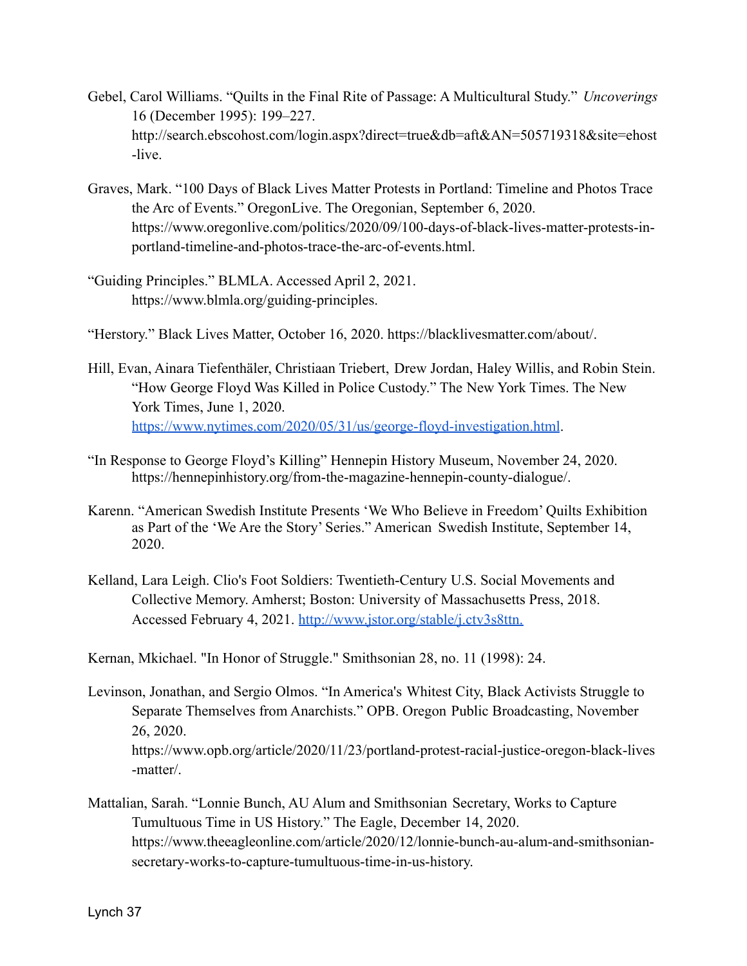- Gebel, Carol Williams. "Quilts in the Final Rite of Passage: A Multicultural Study." *Uncoverings* 16 (December 1995): 199–227. http://search.ebscohost.com/login.aspx?direct=true&db=aft&AN=505719318&site=ehost -live.
- Graves, Mark. "100 Days of Black Lives Matter Protests in Portland: Timeline and Photos Trace the Arc of Events." OregonLive. The Oregonian, September 6, 2020. https://www.oregonlive.com/politics/2020/09/100-days-of-black-lives-matter-protests-inportland-timeline-and-photos-trace-the-arc-of-events.html.
- "Guiding Principles." BLMLA. Accessed April 2, 2021. https://www.blmla.org/guiding-principles.
- "Herstory." Black Lives Matter, October 16, 2020. https://blacklivesmatter.com/about/.
- Hill, Evan, Ainara Tiefenthäler, Christiaan Triebert, Drew Jordan, Haley Willis, and Robin Stein. "How George Floyd Was Killed in Police Custody." The New York Times. The New York Times, June 1, 2020. <https://www.nytimes.com/2020/05/31/us/george-floyd-investigation.html>.
- "In Response to George Floyd's Killing" Hennepin History Museum, November 24, 2020. https://hennepinhistory.org/from-the-magazine-hennepin-county-dialogue/.
- Karenn. "American Swedish Institute Presents 'We Who Believe in Freedom' Quilts Exhibition as Part of the 'We Are the Story' Series." American Swedish Institute, September 14, 2020.
- Kelland, Lara Leigh. Clio's Foot Soldiers: Twentieth-Century U.S. Social Movements and Collective Memory. Amherst; Boston: University of Massachusetts Press, 2018. Accessed February 4, 2021. <http://www.jstor.org/stable/j.ctv3s8ttn>[.](http://www.jstor.org/stable/j.ctv3s8ttn.)

Kernan, Mkichael. "In Honor of Struggle." Smithsonian 28, no. 11 (1998): 24.

- Levinson, Jonathan, and Sergio Olmos. "In America's Whitest City, Black Activists Struggle to Separate Themselves from Anarchists." OPB. Oregon Public Broadcasting, November 26, 2020. https://www.opb.org/article/2020/11/23/portland-protest-racial-justice-oregon-black-lives -matter/.
- Mattalian, Sarah. "Lonnie Bunch, AU Alum and Smithsonian Secretary, Works to Capture Tumultuous Time in US History." The Eagle, December 14, 2020. https://www.theeagleonline.com/article/2020/12/lonnie-bunch-au-alum-and-smithsoniansecretary-works-to-capture-tumultuous-time-in-us-history.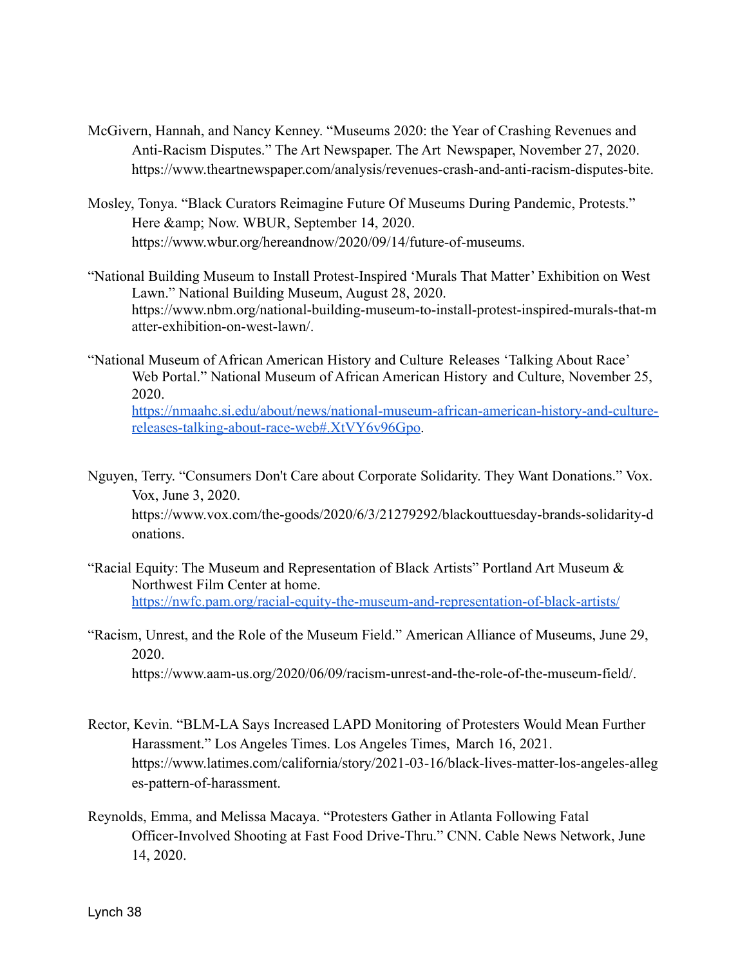- McGivern, Hannah, and Nancy Kenney. "Museums 2020: the Year of Crashing Revenues and Anti-Racism Disputes." The Art Newspaper. The Art Newspaper, November 27, 2020. https://www.theartnewspaper.com/analysis/revenues-crash-and-anti-racism-disputes-bite.
- Mosley, Tonya. "Black Curators Reimagine Future Of Museums During Pandemic, Protests." Here & amp; Now. WBUR, September 14, 2020. https://www.wbur.org/hereandnow/2020/09/14/future-of-museums.
- "National Building Museum to Install Protest-Inspired 'Murals That Matter' Exhibition on West Lawn." National Building Museum, August 28, 2020. https://www.nbm.org/national-building-museum-to-install-protest-inspired-murals-that-m atter-exhibition-on-west-lawn/.
- "National Museum of African American History and Culture Releases 'Talking About Race' Web Portal." National Museum of African American History and Culture, November 25, 2020. [https://nmaahc.si.edu/about/news/national-museum-african-american-history-and-culture](https://nmaahc.si.edu/about/news/national-museum-african-american-history-and-culture-releases-talking-about-race-web#.XtVY6v96Gpo)[releases-talking-about-race-web#.XtVY6v96Gpo.](https://nmaahc.si.edu/about/news/national-museum-african-american-history-and-culture-releases-talking-about-race-web#.XtVY6v96Gpo)
- Nguyen, Terry. "Consumers Don't Care about Corporate Solidarity. They Want Donations." Vox. Vox, June 3, 2020.

https://www.vox.com/the-goods/2020/6/3/21279292/blackouttuesday-brands-solidarity-d onations.

- "Racial Equity: The Museum and Representation of Black Artists" Portland Art Museum & Northwest Film Center at home. <https://nwfc.pam.org/racial-equity-the-museum-and-representation-of-black-artists/>
- "Racism, Unrest, and the Role of the Museum Field." American Alliance of Museums, June 29, 2020. https://www.aam-us.org/2020/06/09/racism-unrest-and-the-role-of-the-museum-field/.
- Rector, Kevin. "BLM-LA Says Increased LAPD Monitoring of Protesters Would Mean Further Harassment." Los Angeles Times. Los Angeles Times, March 16, 2021. https://www.latimes.com/california/story/2021-03-16/black-lives-matter-los-angeles-alleg es-pattern-of-harassment.
- Reynolds, Emma, and Melissa Macaya. "Protesters Gather in Atlanta Following Fatal Officer-Involved Shooting at Fast Food Drive-Thru." CNN. Cable News Network, June 14, 2020.